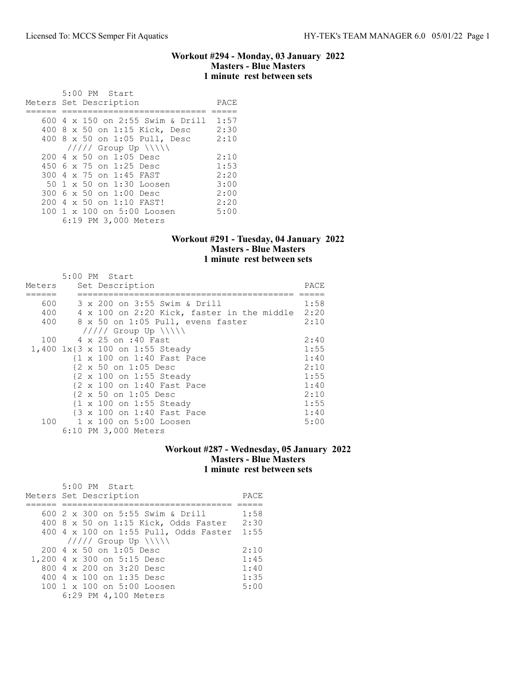#### Workout #294 - Monday, 03 January 2022 Masters - Blue Masters 1 minute rest between sets

| $5:00$ PM Start<br>Meters Set Description | PACE |
|-------------------------------------------|------|
|                                           | 1:57 |
| 600 4 x 150 on 2:55 Swim & Drill          |      |
| 400 8 x 50 on 1:15 Kick, Desc             | 2:30 |
| 400 8 x 50 on 1:05 Pull, Desc             | 2:10 |
| $11111$ Group Up $\N\$                    |      |
| $2004 \times 50$ on 1:05 Desc             | 2:10 |
| 450 6 x 75 on 1:25 Desc                   | 1:53 |
| 300 4 x 75 on 1:45 FAST                   | 2:20 |
| 50 1 x 50 on 1:30 Loosen                  | 3:00 |
| 300 6 x 50 on 1:00 Desc                   | 2:00 |
| 200 4 x 50 on 1:10 FAST!                  | 2:20 |
| 100 1 x 100 on 5:00 Loosen                | 5:00 |
| 6:19 PM 3,000 Meters                      |      |

#### Workout #291 - Tuesday, 04 January 2022 Masters - Blue Masters 1 minute rest between sets

| Meters | 5:00 PM Start<br>Set Description                | PACE |
|--------|-------------------------------------------------|------|
|        |                                                 |      |
| 600    | 3 x 200 on 3:55 Swim & Drill                    | 1:58 |
| 400    | 4 x 100 on 2:20 Kick, faster in the middle 2:20 |      |
| 400    | 8 x 50 on 1:05 Pull, evens faster               | 2:10 |
|        | $11111$ Group Up $\{\{\}\}\$                    |      |
|        | 100 4 x 25 on :40 Fast                          | 2:40 |
|        | 1,400 1x{3 x 100 on 1:55 Steady                 | 1:55 |
|        | {1 x 100 on 1:40 Fast Pace                      | 1:40 |
|        | {2 x 50 on 1:05 Desc                            | 2:10 |
|        | {2 x 100 on 1:55 Steady                         | 1:55 |
|        | {2 x 100 on 1:40 Fast Pace                      | 1:40 |
|        | {2 x 50 on 1:05 Desc                            | 2:10 |
|        | {1 x 100 on 1:55 Steady                         | 1:55 |
|        | {3 x 100 on 1:40 Fast Pace                      | 1:40 |
|        | 100 1 x 100 on 5:00 Loosen                      | 5:00 |
|        | 6:10 PM 3,000 Meters                            |      |

## Workout #287 - Wednesday, 05 January 2022 Masters - Blue Masters 1 minute rest between sets

| 5:00 PM Start<br>Meters Set Description | PACE |
|-----------------------------------------|------|
|                                         |      |
| 600 2 x 300 on 5:55 Swim & Drill        | 1:58 |
| 400 8 x 50 on 1:15 Kick, Odds Faster    | 2:30 |
| 400 4 x 100 on 1:55 Pull, Odds Faster   | 1:55 |
| $11111$ Group Up $\N\$                  |      |
| $2004 \times 50$ on 1:05 Desc           | 2:10 |
| 1,200 4 x 300 on 5:15 Desc              | 1:45 |
| 800 $4 \times 200$ on $3:20$ Desc       | 1:40 |
| 400 4 $\times$ 100 on 1:35 Desc         | 1:35 |
| 100 1 x 100 on 5:00 Loosen              | 5:00 |
| 6:29 PM 4,100 Meters                    |      |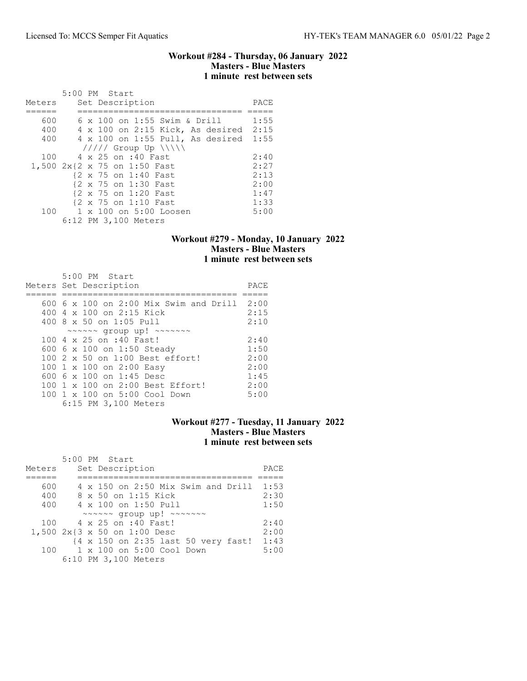### Workout #284 - Thursday, 06 January 2022 Masters - Blue Masters 1 minute rest between sets

|        | 5:00 PM Start                             |      |
|--------|-------------------------------------------|------|
| Meters | Set Description                           | PACE |
|        |                                           |      |
| 600    | 6 x 100 on 1:55 Swim & Drill              | 1:55 |
| 400    | 4 x 100 on 2:15 Kick, As desired 2:15     |      |
| 400    | $4 \times 100$ on $1:55$ Pull, As desired | 1:55 |
|        | $11111$ Group Up $\ \ $                   |      |
| 100    | 4 x 25 on :40 Fast                        | 2:40 |
|        | 1,500 2x{2 x 75 on 1:50 Fast              | 2:27 |
|        | {2 x 75 on 1:40 Fast                      | 2:13 |
|        | {2 x 75 on 1:30 Fast                      | 2:00 |
|        | {2 x 75 on 1:20 Fast                      | 1:47 |
|        | {2 x 75 on 1:10 Fast                      | 1:33 |
| 100    | 1 x 100 on 5:00 Loosen                    | 5:00 |
|        | 6:12 PM 3,100 Meters                      |      |

### Workout #279 - Monday, 10 January 2022 Masters - Blue Masters 1 minute rest between sets

| 5:00 PM Start                                                            |      |
|--------------------------------------------------------------------------|------|
| Meters Set Description                                                   | PACE |
|                                                                          |      |
| 600 6 x 100 on 2:00 Mix Swim and Drill 2:00                              |      |
| 400 4 x 100 on 2:15 Kick                                                 | 2:15 |
| 400 $8 \times 50$ on 1:05 Pull                                           | 2:10 |
| $\sim$ $\sim$ $\sim$ $\sim$ qroup up! $\sim$ $\sim$ $\sim$ $\sim$ $\sim$ |      |
| 100 4 x 25 on :40 Fast!                                                  | 2:40 |
| 600 6 x 100 on 1:50 Steady                                               | 1:50 |
| 100 2 x 50 on 1:00 Best effort!                                          | 2:00 |
| 100 1 x 100 on 2:00 Easy                                                 | 2:00 |
| 600 6 x 100 on 1:45 Desc                                                 | 1:45 |
| 100 1 x 100 on 2:00 Best Effort!                                         | 2:00 |
| 100 1 x 100 on 5:00 Cool Down                                            | 5:00 |
| 6:15 PM 3,100 Meters                                                     |      |

# Workout #277 - Tuesday, 11 January 2022 Masters - Blue Masters 1 minute rest between sets

|        |  | 5:00 PM Start                                                            |      |
|--------|--|--------------------------------------------------------------------------|------|
| Meters |  | Set Description                                                          | PACE |
|        |  |                                                                          |      |
| 600    |  | 4 x 150 on 2:50 Mix Swim and Drill                                       | 1:53 |
| 400    |  | 8 x 50 on 1:15 Kick                                                      | 2:30 |
| 400    |  | 4 x 100 on 1:50 Pull                                                     | 1:50 |
|        |  | $\sim$ $\sim$ $\sim$ $\sim$ qroup up! $\sim$ $\sim$ $\sim$ $\sim$ $\sim$ |      |
|        |  | 100 4 x 25 on :40 Fast!                                                  | 2:40 |
|        |  | 1,500 2x{3 x 50 on 1:00 Desc                                             | 2:00 |
|        |  | {4 x 150 on 2:35 last 50 very fast!                                      | 1:43 |
| 100    |  | 1 x 100 on 5:00 Cool Down                                                | 5:00 |
|        |  | 6:10 PM 3,100 Meters                                                     |      |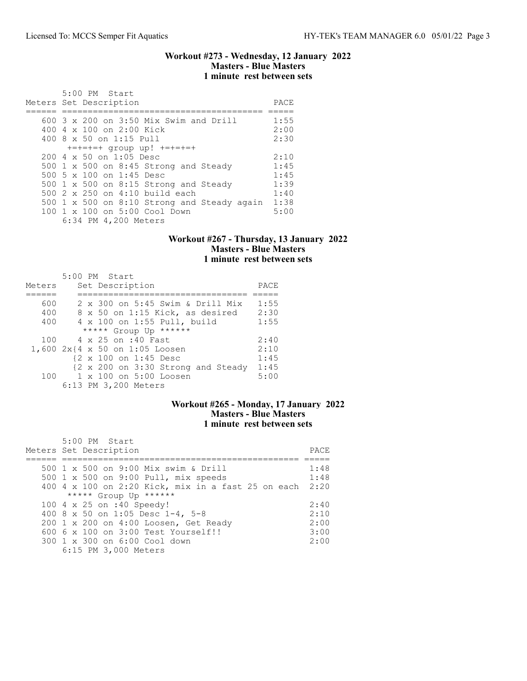### Workout #273 - Wednesday, 12 January 2022 Masters - Blue Masters 1 minute rest between sets

| 5:00 PM Start                                    |      |
|--------------------------------------------------|------|
| Meters Set Description                           | PACE |
|                                                  |      |
| $600$ 3 x 200 on 3:50 Mix Swim and Drill         | 1:55 |
| 400 4 x 100 on 2:00 Kick                         | 2:00 |
| 400 8 x 50 on 1:15 Pull                          | 2:30 |
| $+=+=+=+=$ qroup up! $+=+=+=+$                   |      |
| $200 \text{ } 4 \text{ } \times 50$ on 1:05 Desc | 2:10 |
| 500 1 x 500 on 8:45 Strong and Steady            | 1:45 |
| 500 5 x 100 on 1:45 Desc                         | 1:45 |
| 500 $1 \times 500$ on 8:15 Strong and Steady     | 1:39 |
| 500 $2 \times 250$ on 4:10 build each            | 1:40 |
| 500 1 x 500 on 8:10 Strong and Steady again      | 1:38 |
| 100 1 x 100 on 5:00 Cool Down                    | 5:00 |
| 6:34 PM 4,200 Meters                             |      |

### Workout #267 - Thursday, 13 January 2022 Masters - Blue Masters 1 minute rest between sets

|        |  | 5:00 PM Start                           |      |
|--------|--|-----------------------------------------|------|
| Meters |  | Set Description                         | PACE |
|        |  |                                         |      |
| 600    |  | $2 \times 300$ on 5:45 Swim & Drill Mix | 1:55 |
| 400    |  | 8 x 50 on 1:15 Kick, as desired         | 2:30 |
| 400    |  | 4 x 100 on 1:55 Pull, build             | 1:55 |
|        |  | ***** Group Up ******                   |      |
| 100    |  | 4 x 25 on :40 Fast                      | 2:40 |
|        |  | 1,600 2x{4 x 50 on 1:05 Loosen          | 2:10 |
|        |  | {2 x 100 on 1:45 Desc                   | 1:45 |
|        |  | {2 x 200 on 3:30 Strong and Steady      | 1:45 |
|        |  | 100 1 x 100 on 5:00 Loosen              | 5:00 |
|        |  | 6:13 PM 3,200 Meters                    |      |

## Workout #265 - Monday, 17 January 2022 Masters - Blue Masters 1 minute rest between sets

| $5:00$ PM Start                                         |      |
|---------------------------------------------------------|------|
| Meters Set Description                                  | PACE |
|                                                         |      |
| 500 1 x 500 on 9:00 Mix swim & Drill                    | 1:48 |
| 500 1 x 500 on 9:00 Pull, mix speeds                    | 1:48 |
| 400 4 x 100 on 2:20 Kick, mix in a fast 25 on each 2:20 |      |
| ***** Group Up ******                                   |      |
| 100 4 x 25 on :40 Speedy!                               | 2:40 |
| 400 8 x 50 on 1:05 Desc 1-4, 5-8                        | 2:10 |
| 200 1 x 200 on 4:00 Loosen, Get Ready                   | 2:00 |
| 600 6 x 100 on 3:00 Test Yourself!!                     | 3:00 |
| 300 1 x 300 on 6:00 Cool down                           | 2:00 |
| 6:15 PM 3,000 Meters                                    |      |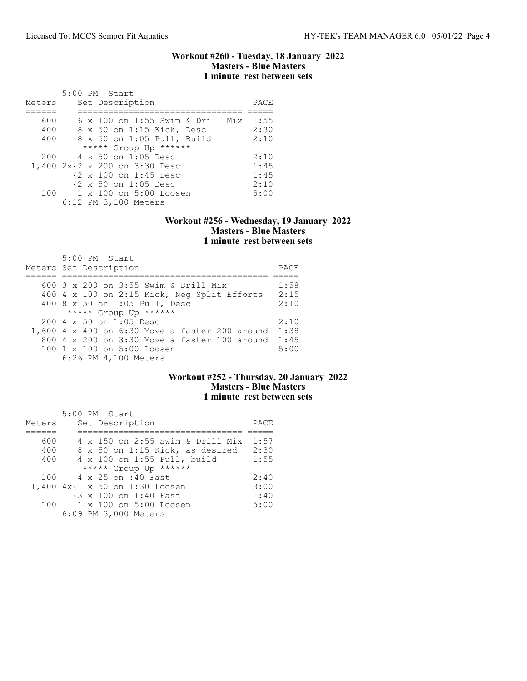#### Workout #260 - Tuesday, 18 January 2022 Masters - Blue Masters 1 minute rest between sets

|        | 5:00 PM Start                         |      |
|--------|---------------------------------------|------|
| Meters | Set Description                       | PACE |
|        |                                       |      |
| 600    | 6 x 100 on 1:55 Swim & Drill Mix 1:55 |      |
| 400    | 8 x 50 on 1:15 Kick, Desc             | 2:30 |
| 400    | 8 x 50 on 1:05 Pull, Build            | 2:10 |
|        | ***** Group Up ******                 |      |
| 200    | 4 x 50 on 1:05 Desc                   | 2:10 |
|        | 1,400 2x{2 x 200 on 3:30 Desc         | 1:45 |
|        | {2 x 100 on 1:45 Desc                 | 1:45 |
|        | {2 x 50 on 1:05 Desc                  | 2:10 |
|        | 100 1 x 100 on 5:00 Loosen            | 5:00 |
|        | 6:12 PM 3,100 Meters                  |      |

### Workout #256 - Wednesday, 19 January 2022 Masters - Blue Masters 1 minute rest between sets

| 5:00 PM Start<br>Meters Set Description                | PACE |
|--------------------------------------------------------|------|
| 600 3 x 200 on 3:55 Swim & Drill Mix                   | 1:58 |
|                                                        |      |
| 400 4 x 100 on 2:15 Kick, Neg Split Efforts            | 2:15 |
| 400 8 x 50 on 1:05 Pull, Desc                          | 2:10 |
| ***** Group Up ******                                  |      |
| $200 \text{ } 4 \text{ } \times 50$ on 1:05 Desc       | 2:10 |
| $1,600$ 4 x 400 on 6:30 Move a faster 200 around       | 1:38 |
| $800\,4 \times 200$ on $3:30$ Move a faster 100 around | 1:45 |
| $100 \t1 x 100$ on $5:00$ Loosen                       | 5:00 |
| 6:26 PM 4,100 Meters                                   |      |

# Workout #252 - Thursday, 20 January 2022 Masters - Blue Masters 1 minute rest between sets

|        | 5:00 PM Start                    |      |
|--------|----------------------------------|------|
| Meters | Set Description                  | PACE |
|        |                                  |      |
| 600    | 4 x 150 on 2:55 Swim & Drill Mix | 1:57 |
| 400    | 8 x 50 on 1:15 Kick, as desired  | 2:30 |
| 400    | 4 x 100 on 1:55 Pull, build      | 1:55 |
|        | ***** Group Up ******            |      |
|        | 100 4 x 25 on :40 Fast           | 2:40 |
|        | 1,400 4x{1 x 50 on 1:30 Loosen   | 3:00 |
|        | {3 x 100 on 1:40 Fast            | 1:40 |
| 100    | 1 x 100 on 5:00 Loosen           | 5:00 |
|        | 6:09 PM 3,000 Meters             |      |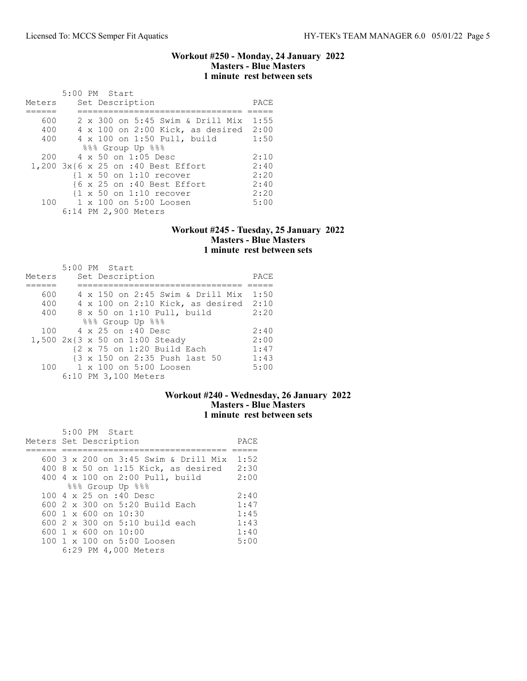### Workout #250 - Monday, 24 January 2022 Masters - Blue Masters 1 minute rest between sets

|        | 5:00 PM Start                                      |      |
|--------|----------------------------------------------------|------|
| Meters | Set Description                                    | PACE |
|        |                                                    |      |
| 600    | 2 x 300 on 5:45 Swim & Drill Mix                   | 1:55 |
| 400    | 4 x 100 on 2:00 Kick, as desired 2:00              |      |
| 400    | 4 x 100 on 1:50 Pull, build                        | 1:50 |
|        | 888 Group Up 888                                   |      |
| 200    | 4 x 50 on 1:05 Desc                                | 2:10 |
|        | 1,200 3x{6 x 25 on :40 Best Effort                 | 2:40 |
|        | $\{1 \times 50 \text{ on } 1:10 \text{ recover}\}$ | 2:20 |
|        | {6 x 25 on :40 Best Effort                         | 2:40 |
|        | $\{1 \times 50 \text{ on } 1:10 \text{ recover}\}$ | 2:20 |
| 100    | 1 x 100 on 5:00 Loosen                             | 5:00 |
|        | 6:14 PM 2,900 Meters                               |      |

### Workout #245 - Tuesday, 25 January 2022 Masters - Blue Masters 1 minute rest between sets

| Meters | 5:00 PM Start<br>Set Description                      | PACE |
|--------|-------------------------------------------------------|------|
|        |                                                       |      |
| 600    | 4 x 150 on 2:45 Swim & Drill Mix                      | 1:50 |
| 400    | 4 x 100 on 2:10 Kick, as desired                      | 2:10 |
| 400    | 8 x 50 on 1:10 Pull, build                            | 2:20 |
|        | 888 Group Up 888                                      |      |
| 100    | 4 x 25 on :40 Desc                                    | 2:40 |
|        | 1,500 2x{3 x 50 on 1:00 Steady                        | 2:00 |
|        | $\{2 \times 75 \text{ on } 1:20 \text{ Build Each}\}$ | 1:47 |
|        | {3 x 150 on 2:35 Push last 50                         | 1:43 |
| 100    | 1 x 100 on 5:00 Loosen                                | 5:00 |
|        | 6:10 PM 3,100 Meters                                  |      |

# Workout #240 - Wednesday, 26 January 2022 Masters - Blue Masters 1 minute rest between sets

| 5:00 PM Start<br>Meters Set Description                           | PACE |
|-------------------------------------------------------------------|------|
|                                                                   |      |
|                                                                   |      |
| 600 3 x 200 on 3:45 Swim & Drill Mix                              | 1:52 |
| 400 8 x 50 on 1:15 Kick, as desired 2:30                          |      |
| 400 4 x 100 on 2:00 Pull, build                                   | 2:00 |
| 888 Group Up 888                                                  |      |
| 100 4 x 25 on :40 Desc                                            | 2:40 |
| $600$ 2 x 300 on 5:20 Build Each                                  | 1:47 |
| $600 \text{ } 1 \text{ } \times \text{ } 600 \text{ }$ on $10:30$ | 1:45 |
| 600 $2 \times 300$ on $5:10$ build each                           | 1:43 |
| $600 \text{ } 1 \times 600 \text{ on } 10:00$                     | 1:40 |
| 100 1 x 100 on 5:00 Loosen                                        | 5:00 |
| 6:29 PM 4,000 Meters                                              |      |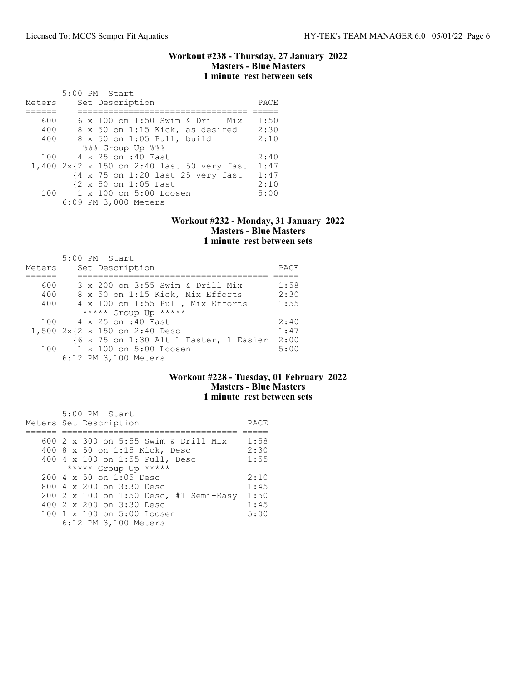### Workout #238 - Thursday, 27 January 2022 Masters - Blue Masters 1 minute rest between sets

|        | 5:00 PM Start                              |      |
|--------|--------------------------------------------|------|
| Meters | Set Description                            | PACE |
|        |                                            |      |
| 600    | $6 \times 100$ on 1:50 Swim & Drill Mix    | 1:50 |
| 400    | 8 x 50 on 1:15 Kick, as desired            | 2:30 |
| 400    | 8 x 50 on 1:05 Pull, build                 | 2:10 |
|        | 888 Group Up 888                           |      |
| 100    | 4 x 25 on :40 Fast                         | 2:40 |
|        | 1,400 2x{2 x 150 on 2:40 last 50 very fast | 1:47 |
|        | {4 x 75 on 1:20 last 25 very fast          | 1:47 |
|        | {2 x 50 on 1:05 Fast                       | 2:10 |
|        | 100 1 x 100 on 5:00 Loosen                 | 5:00 |
|        | 6:09 PM 3,000 Meters                       |      |

#### Workout #232 - Monday, 31 January 2022 Masters - Blue Masters 1 minute rest between sets

|        | 5:00 PM Start                          |      |
|--------|----------------------------------------|------|
| Meters | Set Description                        | PACE |
|        |                                        |      |
| 600    | 3 x 200 on 3:55 Swim & Drill Mix       | 1:58 |
| 400    | 8 x 50 on 1:15 Kick, Mix Efforts       | 2:30 |
| 400    | 4 x 100 on 1:55 Pull, Mix Efforts      | 1:55 |
|        | ***** Group Up *****                   |      |
|        | 100 4 x 25 on :40 Fast                 | 2:40 |
|        | 1,500 2x{2 x 150 on 2:40 Desc          | 1:47 |
|        | {6 x 75 on 1:30 Alt 1 Faster, 1 Easier | 2:00 |
|        | 100 1 x 100 on 5:00 Loosen             | 5:00 |
|        | 6:12 PM 3,100 Meters                   |      |

# Workout #228 - Tuesday, 01 February 2022 Masters - Blue Masters 1 minute rest between sets

| 5:00 PM Start                                    |      |
|--------------------------------------------------|------|
| Meters Set Description                           | PACE |
|                                                  |      |
| 600 2 x 300 on 5:55 Swim & Drill Mix             | 1:58 |
| 400 8 x 50 on 1:15 Kick, Desc                    | 2:30 |
| 400 4 x 100 on 1:55 Pull, Desc                   | 1:55 |
| ***** Group Up *****                             |      |
| $200 \text{ } 4 \text{ } \times 50$ on 1:05 Desc | 2:10 |
| 800 $4 \times 200$ on $3:30$ Desc                | 1:45 |
| 200 2 x 100 on 1:50 Desc, #1 Semi-Easy           | 1:50 |
| 400 2 x 200 on 3:30 Desc                         | 1:45 |
| 100 1 x 100 on 5:00 Loosen                       | 5:00 |
| 6:12 PM 3,100 Meters                             |      |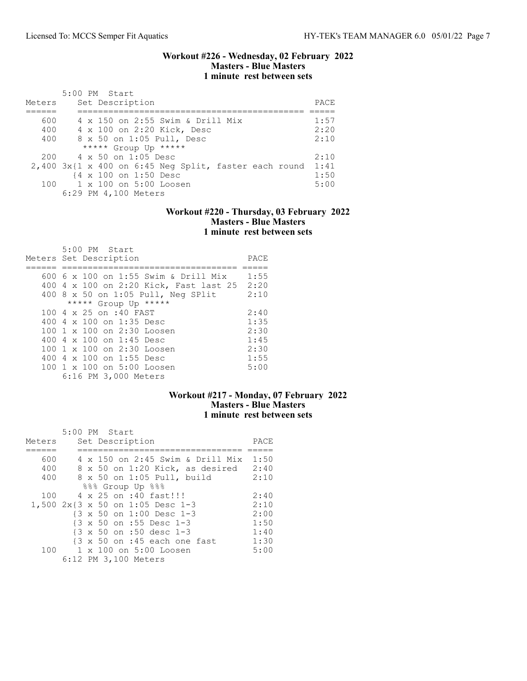#### Workout #226 - Wednesday, 02 February 2022 Masters - Blue Masters 1 minute rest between sets

| Meters | $5:00$ PM Start<br>Set Description                    | PACE. |
|--------|-------------------------------------------------------|-------|
|        |                                                       |       |
| 600    | 4 x 150 on 2:55 Swim & Drill Mix                      | 1:57  |
| 400    | 4 x 100 on 2:20 Kick, Desc                            | 2:20  |
| 400    | 8 x 50 on 1:05 Pull, Desc                             | 2:10  |
|        | ***** Group Up *****                                  |       |
| 200    | $4 \times 50$ on 1:05 Desc                            | 2:10  |
|        | 2,400 3x{1 x 400 on 6:45 Neg Split, faster each round | 1:41  |
|        | {4 x 100 on 1:50 Desc                                 | 1:50  |
| 100    | $1 \times 100$ on $5:00$ Loosen                       | 5:00  |
|        | 6:29 PM 4,100 Meters                                  |       |

### Workout #220 - Thursday, 03 February 2022 Masters - Blue Masters 1 minute rest between sets

| 5:00 PM Start<br>Meters Set Description | PACE |
|-----------------------------------------|------|
| 600 6 x 100 on 1:55 Swim & Drill Mix    | 1:55 |
| 400 4 x 100 on 2:20 Kick, Fast last 25  | 2:20 |
| 400 8 x 50 on 1:05 Pull, Neg SPlit      | 2:10 |
| ***** Group Up *****                    |      |
| 100 4 x 25 on :40 FAST                  | 2:40 |
| 400 4 x 100 on 1:35 Desc                | 1:35 |
| 100 1 x 100 on 2:30 Loosen              | 2:30 |
| 400 4 x 100 on 1:45 Desc                | 1:45 |
| 100 1 x 100 on 2:30 Loosen              | 2:30 |
| 400 4 x 100 on 1:55 Desc                | 1:55 |
| 100 1 x 100 on 5:00 Loosen              | 5:00 |
| 6:16 PM 3,000 Meters                    |      |

# Workout #217 - Monday, 07 February 2022 Masters - Blue Masters 1 minute rest between sets

|        | 5:00 PM Start                                            |                                  |      |
|--------|----------------------------------------------------------|----------------------------------|------|
| Meters | Set Description                                          |                                  | PACE |
|        |                                                          |                                  |      |
| 600    |                                                          | 4 x 150 on 2:45 Swim & Drill Mix | 1:50 |
| 400    |                                                          | 8 x 50 on 1:20 Kick, as desired  | 2:40 |
| 400    | 8 x 50 on 1:05 Pull, build                               |                                  | 2:10 |
|        | 888 Group Up 888                                         |                                  |      |
| 100    | 4 x 25 on :40 fast!!!                                    |                                  | 2:40 |
|        | 1,500 2x{3 x 50 on 1:05 Desc 1-3                         |                                  | 2:10 |
|        | {3 x 50 on 1:00 Desc 1-3                                 |                                  | 2:00 |
|        | $\{3 \times 50 \text{ on } : 55 \text{ Desc } 1-3 \}$    |                                  | 1:50 |
|        | $\{3 \times 50 \text{ on } : 50 \text{ desc } 1-3 \}$    |                                  | 1:40 |
|        | $\{3 \times 50 \text{ on } : 45 \text{ each one fast}\}$ |                                  | 1:30 |
|        | 100 1 x 100 on 5:00 Loosen                               |                                  | 5:00 |
|        | 6:12 PM 3,100 Meters                                     |                                  |      |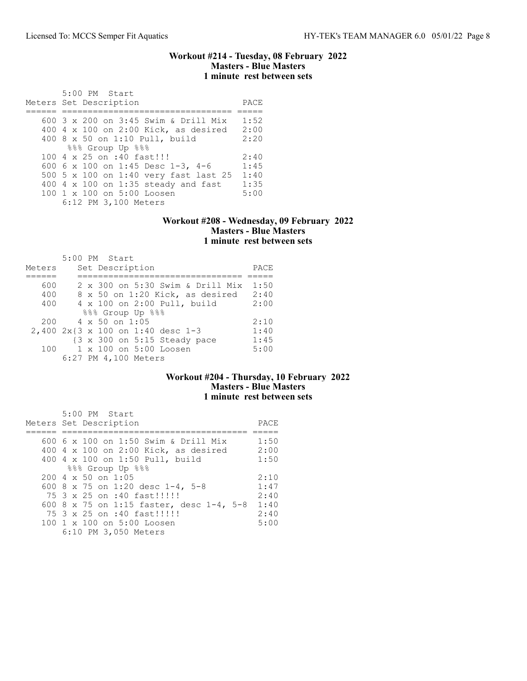### Workout #214 - Tuesday, 08 February 2022 Masters - Blue Masters 1 minute rest between sets

| 5:00 PM Start<br>Meters Set Description | PACE |
|-----------------------------------------|------|
|                                         |      |
| 600 3 x 200 on 3:45 Swim & Drill Mix    | 1:52 |
| 400 4 x 100 on 2:00 Kick, as desired    | 2:00 |
| 400 8 x 50 on 1:10 Pull, build          | 2:20 |
| %%% Group Up %%%                        |      |
| 100 4 x 25 on :40 fast!!!               | 2:40 |
| 600 6 x 100 on 1:45 Desc 1-3, 4-6       | 1:45 |
| 500 5 x 100 on 1:40 very fast last 25   | 1:40 |
| 400 4 x 100 on 1:35 steady and fast     | 1:35 |
| 100 1 x 100 on 5:00 Loosen              | 5:00 |
| 6:12 PM 3,100 Meters                    |      |

#### Workout #208 - Wednesday, 09 February 2022 Masters - Blue Masters 1 minute rest between sets

|        | 5:00 PM Start                                           |      |
|--------|---------------------------------------------------------|------|
| Meters | Set Description                                         | PACE |
|        |                                                         |      |
| 600    | 2 x 300 on 5:30 Swim & Drill Mix                        | 1:50 |
| 400    | 8 x 50 on 1:20 Kick, as desired                         | 2:40 |
| 400    | 4 x 100 on 2:00 Pull, build                             | 2:00 |
|        | 888 Group Up 888                                        |      |
| 200    | $4 \times 50$ on 1:05                                   | 2:10 |
|        | 2,400 2x{3 x 100 on 1:40 desc 1-3                       | 1:40 |
|        | $\{3 \times 300 \text{ on } 5:15 \text{ Steady pace}\}$ | 1:45 |
| 100    | 1 x 100 on 5:00 Loosen                                  | 5:00 |
|        | 6:27 PM 4,100 Meters                                    |      |

# Workout #204 - Thursday, 10 February 2022 Masters - Blue Masters 1 minute rest between sets

| 5:00 PM Start                            |      |
|------------------------------------------|------|
| Meters Set Description                   | PACE |
|                                          |      |
| 600 6 x 100 on 1:50 Swim & Drill Mix     | 1:50 |
| 400 4 x 100 on 2:00 Kick, as desired     | 2:00 |
| 400 4 x 100 on 1:50 Pull, build          | 1:50 |
| 888 Group Up 888                         |      |
| $200 \, 4 \times 50$ on 1:05             | 2:10 |
| 600 8 x 75 on 1:20 desc 1-4, 5-8         | 1:47 |
| 75 3 x 25 on :40 fast!!!!!!              | 2:40 |
| 600 8 x 75 on 1:15 faster, desc 1-4, 5-8 | 1:40 |
| 75 3 x 25 on :40 fast!!!!!!              | 2:40 |
| 100 1 x 100 on 5:00 Loosen               | 5:00 |
| 6:10 PM 3,050 Meters                     |      |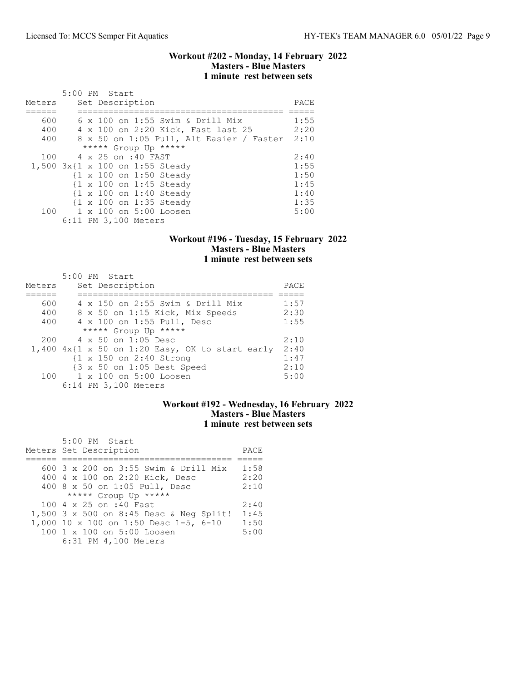### Workout #202 - Monday, 14 February 2022 Masters - Blue Masters 1 minute rest between sets

| Meters            | 5:00 PM Start<br>Set Description                                                                                                    | PACE                         |
|-------------------|-------------------------------------------------------------------------------------------------------------------------------------|------------------------------|
| 600<br>400<br>400 | $6 \times 100$ on 1:55 Swim & Drill Mix<br>4 x 100 on 2:20 Kick, Fast last 25<br>8 x 50 on 1:05 Pull, Alt Easier / Faster 2:10      | 1:55<br>2:20                 |
| 100               | ***** Group Up *****<br>4 x 25 on :40 FAST<br>1,500 3x{1 x 100 on 1:55 Steady<br>{1 x 100 on 1:50 Steady<br>{1 x 100 on 1:45 Steady | 2:40<br>1:55<br>1:50<br>1:45 |
| 100               | $\{1 \times 100 \text{ on } 1:40 \text{ Steady}\}$<br>{1 x 100 on 1:35 Steady<br>1 x 100 on 5:00 Loosen<br>6:11 PM 3,100 Meters     | 1:40<br>1:35<br>5:00         |

# Workout #196 - Tuesday, 15 February 2022 Masters - Blue Masters 1 minute rest between sets

|        | 5:00 PM Start                                        |      |
|--------|------------------------------------------------------|------|
| Meters | Set Description                                      | PACE |
|        |                                                      |      |
| 600    | 4 x 150 on 2:55 Swim & Drill Mix                     | 1:57 |
| 400    | 8 x 50 on 1:15 Kick, Mix Speeds                      | 2:30 |
| 400    | 4 x 100 on 1:55 Pull, Desc                           | 1:55 |
|        | ***** Group Up *****                                 |      |
| 200    | $4 \times 50$ on 1:05 Desc                           | 2:10 |
|        | $1,400$ $4x$ {1 x 50 on 1:20 Easy, OK to start early | 2:40 |
|        | $\{1 \times 150 \text{ on } 2:40 \text{ Strong}\}$   | 1:47 |
|        | {3 x 50 on 1:05 Best Speed                           | 2:10 |
| 100    | $1 \times 100$ on $5:00$ Loosen                      | 5:00 |
|        | 6:14 PM 3,100 Meters                                 |      |

# Workout #192 - Wednesday, 16 February 2022 Masters - Blue Masters 1 minute rest between sets

| 5:00 PM Start<br>Meters Set Description | PACE |
|-----------------------------------------|------|
|                                         |      |
| 600 3 x 200 on 3:55 Swim & Drill Mix    | 1:58 |
| 400 4 x 100 on 2:20 Kick, Desc          | 2:20 |
| 400 8 x 50 on 1:05 Pull, Desc           | 2:10 |
| ***** Group Up *****                    |      |
| 100 4 x 25 on :40 Fast                  | 2:40 |
| 1,500 3 x 500 on 8:45 Desc & Neg Split! | 1:45 |
| 1,000 10 x 100 on 1:50 Desc 1-5, 6-10   | 1:50 |
| 100 1 x 100 on 5:00 Loosen              | 5:00 |
| 6:31 PM 4,100 Meters                    |      |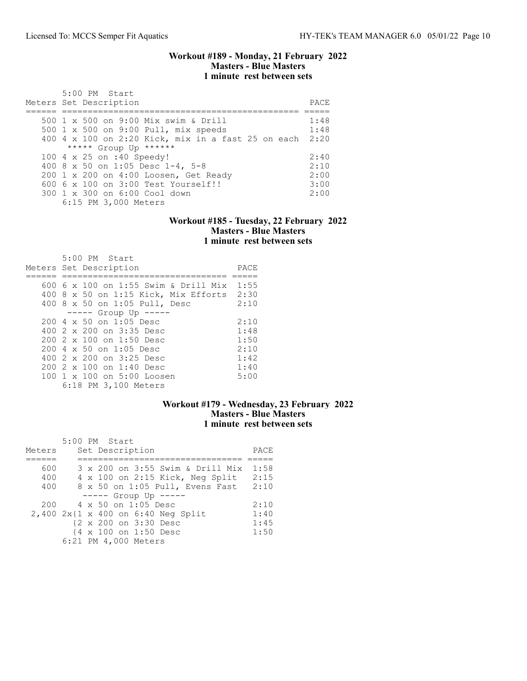#### Workout #189 - Monday, 21 February 2022 Masters - Blue Masters 1 minute rest between sets

| $5:00$ PM Start<br>Meters Set Description               | PACE |
|---------------------------------------------------------|------|
| 500 1 x 500 on 9:00 Mix swim & Drill                    | 1:48 |
| 500 1 x 500 on 9:00 Pull, mix speeds                    | 1:48 |
| 400 4 x 100 on 2:20 Kick, mix in a fast 25 on each 2:20 |      |
| ***** Group Up ******                                   |      |
| 100 4 x 25 on :40 Speedy!                               | 2:40 |
| 400 8 x 50 on 1:05 Desc 1-4, 5-8                        | 2:10 |
| 200 1 x 200 on 4:00 Loosen, Get Ready                   | 2:00 |
| $6006 \times 100$ on $3:00$ Test Yourself!!             | 3:00 |
| 300 1 x 300 on 6:00 Cool down                           | 2:00 |
| 6:15 PM 3,000 Meters                                    |      |

#### Workout #185 - Tuesday, 22 February 2022 Masters - Blue Masters 1 minute rest between sets

| $5:00$ PM Start<br>Meters Set Description        | PACE |
|--------------------------------------------------|------|
| 600 6 x 100 on 1:55 Swim & Drill Mix             | 1:55 |
|                                                  |      |
| 400 8 x 50 on 1:15 Kick, Mix Efforts 2:30        |      |
| 400 8 x 50 on 1:05 Pull, Desc                    | 2:10 |
| $--- $ Group Up $---$                            |      |
| $200 \text{ } 4 \text{ } \times 50$ on 1:05 Desc | 2:10 |
| 400 2 x 200 on 3:35 Desc                         | 1:48 |
| 200 2 x 100 on 1:50 Desc                         | 1:50 |
| 200 4 x 50 on 1:05 Desc                          | 2:10 |
| 400 2 x 200 on 3:25 Desc                         | 1:42 |
| $2002 \times 100$ on 1:40 Desc                   | 1:40 |
| $100 \t1 x 100$ on $5:00$ Loosen                 | 5:00 |
| 6:18 PM 3,100 Meters                             |      |

# Workout #179 - Wednesday, 23 February 2022 Masters - Blue Masters 1 minute rest between sets

|        |  | 5:00 PM Start                      |      |
|--------|--|------------------------------------|------|
| Meters |  | Set Description                    | PACE |
|        |  |                                    |      |
| 600    |  | 3 x 200 on 3:55 Swim & Drill Mix   | 1:58 |
| 400    |  | 4 x 100 on 2:15 Kick, Neg Split    | 2:15 |
| 400    |  | 8 x 50 on 1:05 Pull, Evens Fast    | 2:10 |
|        |  | $--- -$ Group Up $---$             |      |
| 200    |  | 4 x 50 on 1:05 Desc                | 2:10 |
|        |  | 2,400 2x{1 x 400 on 6:40 Neg Split | 1:40 |
|        |  | {2 x 200 on 3:30 Desc              | 1:45 |
|        |  | {4 x 100 on 1:50 Desc              | 1:50 |
|        |  | 6:21 PM 4,000 Meters               |      |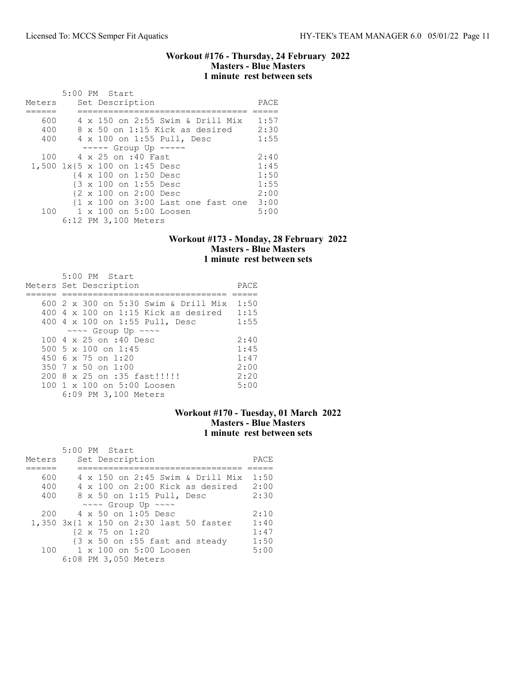#### Workout #176 - Thursday, 24 February 2022 Masters - Blue Masters 1 minute rest between sets

| Meters |  | 5:00 PM Start | Set Description               |                                                               |  | PACE |
|--------|--|---------------|-------------------------------|---------------------------------------------------------------|--|------|
|        |  |               |                               |                                                               |  |      |
| 600    |  |               |                               | 4 x 150 on 2:55 Swim & Drill Mix                              |  | 1:57 |
| 400    |  |               |                               | 8 x 50 on 1:15 Kick as desired                                |  | 2:30 |
| 400    |  |               |                               | 4 x 100 on 1:55 Pull, Desc                                    |  | 1:55 |
|        |  |               |                               | $--- $ Group Up $---$                                         |  |      |
| 100    |  |               | 4 x 25 on :40 Fast            |                                                               |  | 2:40 |
|        |  |               | 1,500 1x{5 x 100 on 1:45 Desc |                                                               |  | 1:45 |
|        |  |               | {4 x 100 on 1:50 Desc         |                                                               |  | 1:50 |
|        |  |               | {3 x 100 on 1:55 Desc         |                                                               |  | 1:55 |
|        |  |               | {2 x 100 on 2:00 Desc         |                                                               |  | 2:00 |
|        |  |               |                               | $\{1 \times 100 \text{ on } 3:00 \text{ Last one fast one}\}$ |  | 3:00 |
| 100    |  |               |                               | 1 x 100 on 5:00 Loosen                                        |  | 5:00 |
|        |  |               | 6:12 PM 3,100 Meters          |                                                               |  |      |

# Workout #173 - Monday, 28 February 2022 Masters - Blue Masters 1 minute rest between sets

| 5:00 PM Start                              |      |
|--------------------------------------------|------|
| Meters Set Description                     | PACE |
|                                            |      |
| 600 2 x 300 on 5:30 Swim & Drill Mix       | 1:50 |
| $400$ 4 x 100 on 1:15 Kick as desired      | 1:15 |
| 400 4 x 100 on 1:55 Pull, Desc             | 1:55 |
| $\sim \sim \sim$ Group Up $\sim \sim \sim$ |      |
| 100 4 x 25 on :40 Desc                     | 2:40 |
| 500 5 $\times$ 100 on 1:45                 | 1:45 |
| 450 6 $\times$ 75 on 1:20                  | 1:47 |
| 350 $7 \times 50$ on 1:00                  | 2:00 |
| 200 8 x 25 on :35 fast!!!!!                | 2:20 |
| 100 1 x 100 on 5:00 Loosen                 | 5:00 |
| 6:09 PM 3,100 Meters                       |      |

# Workout #170 - Tuesday, 01 March 2022 Masters - Blue Masters 1 minute rest between sets

| Meters |  | 5:00 PM Start<br>Set Description                           | PACE |
|--------|--|------------------------------------------------------------|------|
|        |  |                                                            |      |
| 600    |  | 4 x 150 on 2:45 Swim & Drill Mix                           | 1:50 |
| 400    |  | $4 \times 100$ on 2:00 Kick as desired                     | 2:00 |
| 400    |  | 8 x 50 on 1:15 Pull, Desc                                  | 2:30 |
|        |  | ~~~~ Group Up ~~~~                                         |      |
| 200    |  | 4 x 50 on 1:05 Desc                                        | 2:10 |
|        |  | 1,350 3x{1 x 150 on 2:30 last 50 faster                    | 1:40 |
|        |  | {2 x 75 on 1:20                                            | 1:47 |
|        |  | $\{3 \times 50 \text{ on } : 55 \text{ fast and steady}\}$ | 1:50 |
| 100    |  | $1 \times 100$ on $5:00$ Loosen                            | 5:00 |
|        |  | 6:08 PM 3,050 Meters                                       |      |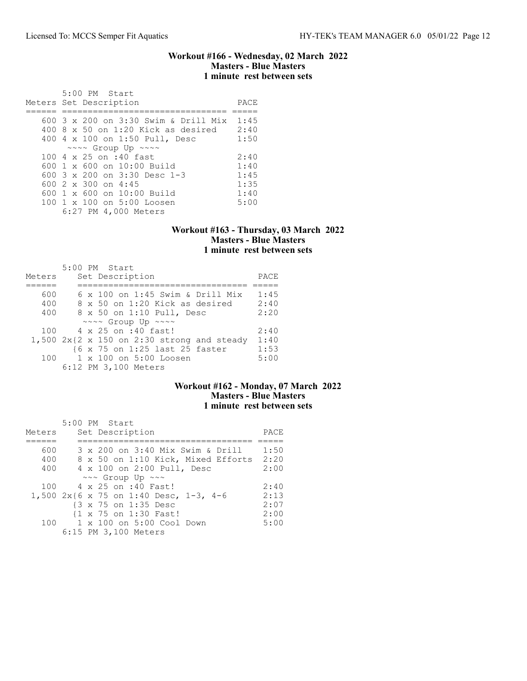#### Workout #166 - Wednesday, 02 March 2022 Masters - Blue Masters 1 minute rest between sets

| $5:00$ PM Start<br>Meters Set Description    | PACE |
|----------------------------------------------|------|
| 600 3 x 200 on 3:30 Swim & Drill Mix         | 1:45 |
| $400.8 \times 50$ on 1:20 Kick as desired    | 2:40 |
| 400 4 x 100 on 1:50 Pull, Desc               | 1:50 |
| $\sim \sim \sim$ Group Up $\sim \sim \sim$   |      |
| 100 4 x 25 on :40 fast                       | 2:40 |
| $600 \text{ } 1 \times 600$ on $10:00$ Build | 1:40 |
| 600 $3 \times 200$ on $3:30$ Desc 1-3        | 1:45 |
| 600 $2 \times 300$ on 4:45                   | 1:35 |
| $600 \text{ } 1 \times 600$ on $10:00$ Build | 1:40 |
| 100 1 x 100 on 5:00 Loosen                   | 5:00 |
| 6:27 PM 4,000 Meters                         |      |

## Workout #163 - Thursday, 03 March 2022 Masters - Blue Masters 1 minute rest between sets

|        |  | $5:00$ PM Start                              |      |
|--------|--|----------------------------------------------|------|
| Meters |  | Set Description                              | PACE |
|        |  |                                              |      |
| 600    |  | $6 \times 100$ on 1:45 Swim & Drill Mix      | 1:45 |
| 400    |  | $8 \times 50$ on 1:20 Kick as desired        | 2:40 |
| 400    |  | 8 x 50 on 1:10 Pull, Desc                    | 2:20 |
|        |  | $\sim \sim \sim$ Group Up $\sim \sim \sim$   |      |
| 100    |  | 4 x 25 on :40 fast!                          | 2:40 |
|        |  | $1,500$ 2x{2 x 150 on 2:30 strong and steady | 1:40 |
|        |  | {6 x 75 on 1:25 last 25 faster               | 1:53 |
| 100    |  | 1 x 100 on 5:00 Loosen                       | 5:00 |
|        |  | 6:12 PM 3,100 Meters                         |      |

# Workout #162 - Monday, 07 March 2022 Masters - Blue Masters 1 minute rest between sets

| Meters | 5:00 PM Start<br>Set Description          | PACE |
|--------|-------------------------------------------|------|
| 600    | 3 x 200 on 3:40 Mix Swim & Drill          | 1:50 |
| 400    | 8 x 50 on 1:10 Kick, Mixed Efforts        | 2:20 |
| 400    | 4 x 100 on 2:00 Pull, Desc                | 2:00 |
|        | $\sim \sim$ Group Up $\sim \sim$          |      |
| 100    | 4 x 25 on :40 Fast!                       | 2:40 |
|        | 1,500 $2x$ {6 x 75 on 1:40 Desc, 1-3, 4-6 | 2:13 |
|        | {3 x 75 on 1:35 Desc                      | 2:07 |
|        | {1 x 75 on 1:30 Fast!                     | 2:00 |
| 100    | $1 \times 100$ on $5:00$ Cool Down        | 5:00 |
|        | 6:15 PM 3,100 Meters                      |      |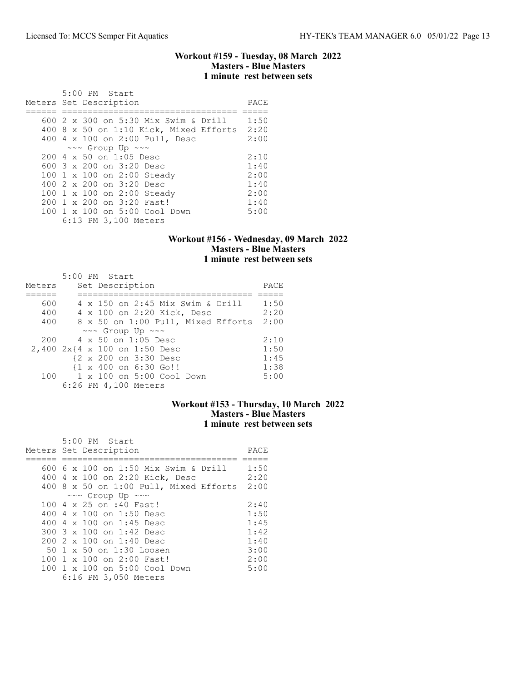### Workout #159 - Tuesday, 08 March 2022 Masters - Blue Masters 1 minute rest between sets

| 5:00 PM Start                          |      |
|----------------------------------------|------|
| Meters Set Description                 | PACE |
|                                        |      |
| 600 2 x 300 on 5:30 Mix Swim & Drill   | 1:50 |
| 400 8 x 50 on 1:10 Kick, Mixed Efforts | 2:20 |
| 400 4 x 100 on 2:00 Pull, Desc         | 2:00 |
| $\sim\sim$ Group Up $\sim\sim$         |      |
| 200 4 x 50 on 1:05 Desc                | 2:10 |
| 600 $3 \times 200$ on $3:20$ Desc      | 1:40 |
| 100 1 x 100 on 2:00 Steady             | 2:00 |
| 400 2 x 200 on 3:20 Desc               | 1:40 |
| 100 1 x 100 on 2:00 Steady             | 2:00 |
| 200 1 x 200 on 3:20 Fast!              | 1:40 |
| 100 1 x 100 on 5:00 Cool Down          | 5:00 |
| 6:13 PM 3,100 Meters                   |      |

# Workout #156 - Wednesday, 09 March 2022 Masters - Blue Masters 1 minute rest between sets

|                               | 5:00 PM Start       |  |                                                 |                               |                                  |                                    |      |
|-------------------------------|---------------------|--|-------------------------------------------------|-------------------------------|----------------------------------|------------------------------------|------|
| Meters                        |                     |  | Set Description                                 |                               |                                  |                                    | PACE |
|                               |                     |  |                                                 |                               |                                  |                                    |      |
| 600                           |                     |  |                                                 |                               | 4 x 150 on 2:45 Mix Swim & Drill |                                    | 1:50 |
| 400                           |                     |  |                                                 |                               | 4 x 100 on 2:20 Kick, Desc       |                                    | 2:20 |
| 400                           |                     |  |                                                 |                               |                                  | 8 x 50 on 1:00 Pull, Mixed Efforts | 2:00 |
|                               |                     |  | $\sim \sim$ Group Up $\sim \sim$                |                               |                                  |                                    |      |
| 200                           | 4 x 50 on 1:05 Desc |  |                                                 |                               |                                  |                                    | 2:10 |
| 2,400 2x{4 x 100 on 1:50 Desc |                     |  |                                                 |                               |                                  |                                    | 1:50 |
|                               |                     |  | {2 x 200 on 3:30 Desc                           |                               |                                  |                                    | 1:45 |
|                               |                     |  | $\{1 \times 400 \text{ on } 6:30 \text{ Go}!\}$ |                               |                                  |                                    | 1:38 |
|                               |                     |  |                                                 | 100 1 x 100 on 5:00 Cool Down |                                  |                                    | 5:00 |
|                               |                     |  | 6:26 PM 4,100 Meters                            |                               |                                  |                                    |      |

# Workout #153 - Thursday, 10 March 2022 Masters - Blue Masters 1 minute rest between sets

| 5:00 PM Start<br>Meters Set Description | PACE |
|-----------------------------------------|------|
|                                         |      |
| 600 6 x 100 on 1:50 Mix Swim & Drill    | 1:50 |
| 400 4 x 100 on 2:20 Kick, Desc          | 2:20 |
| 400 8 x 50 on 1:00 Pull, Mixed Efforts  | 2:00 |
| $\sim\sim$ Group Up $\sim\sim$          |      |
| 100 4 x 25 on :40 Fast!                 | 2:40 |
| 400 $4 \times 100$ on 1:50 Desc         | 1:50 |
| 400 4 x 100 on 1:45 Desc                | 1:45 |
| 300 3 x 100 on 1:42 Desc                | 1:42 |
| 200 2 x 100 on 1:40 Desc                | 1:40 |
| 50 1 x 50 on 1:30 Loosen                | 3:00 |
| 100 1 x 100 on 2:00 Fast!               | 2:00 |
| 100 1 x 100 on 5:00 Cool Down           | 5:00 |
| 6:16 PM 3,050 Meters                    |      |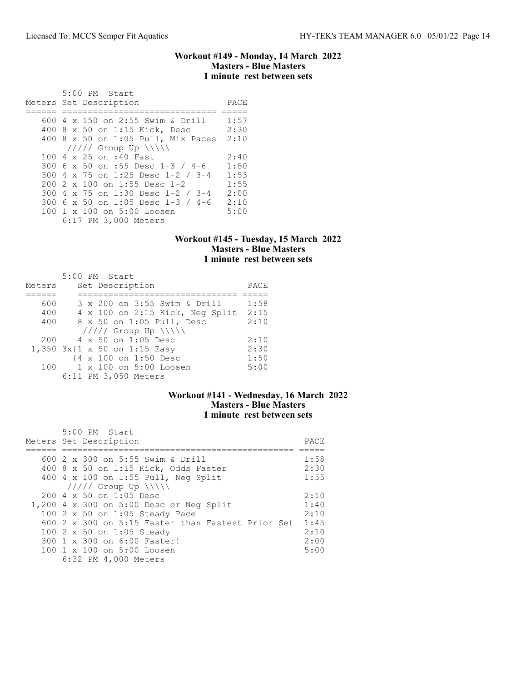## Workout #149 - Monday, 14 March 2022 Masters - Blue Masters 1 minute rest between sets

 5:00 PM Start Meters Set Description PACE ====== ============================== ===== 600 4 x 150 on 2:55 Swim & Drill 1:57 400 8 x 50 on 1:15 Kick, Desc 2:30 400 8 x 50 on 1:05 Pull, Mix Paces 2:10 ///// Group Up \\\\\ 100 4 x 25 on :40 Fast 2:40<br>300 6 x 50 on :55 Desc 1-3 / 4-6 1:50 300 6 x 50 on :55 Desc 1-3 / 4-6 300 4 x 75 on 1:25 Desc 1-2 / 3-4 1:53 200 2 x 100 on 1:55 Desc 1-2 300 4 x 75 on 1:30 Desc 1-2 / 3-4 2:00 300 6 x 50 on 1:05 Desc 1-3 / 4-6 2:10 100 1 x 100 on 5:00 Loosen 6:17 PM 3,000 Meters

## Workout #145 - Tuesday, 15 March 2022 Masters - Blue Masters 1 minute rest between sets

|        | 5:00 PM Start                          |      |
|--------|----------------------------------------|------|
| Meters | Set Description                        | PACE |
|        |                                        |      |
| 600    | 3 x 200 on 3:55 Swim & Drill           | 1:58 |
| 400    | $4 \times 100$ on 2:15 Kick, Neq Split | 2:15 |
| 400    | 8 x 50 on 1:05 Pull, Desc              | 2:10 |
|        | $11111$ Group Up $\N\$                 |      |
| 200    | 4 x 50 on 1:05 Desc                    | 2:10 |
|        | 1,350 3x{1 x 50 on 1:15 Easy           | 2:30 |
|        | {4 x 100 on 1:50 Desc                  | 1:50 |
| 100    | 1 x 100 on 5:00 Loosen                 | 5:00 |
|        | 6:11 PM 3,050 Meters                   |      |

# Workout #141 - Wednesday, 16 March 2022 Masters - Blue Masters 1 minute rest between sets

| 5:00 PM Start<br>Meters Set Description           | PACE |
|---------------------------------------------------|------|
| 600 2 x 300 on 5:55 Swim & Drill                  | 1:58 |
| 400 8 x 50 on 1:15 Kick, Odds Faster              | 2:30 |
| 400 4 x 100 on 1:55 Pull, Neg Split               | 1:55 |
| $11111$ Group Up $\ \ $                           |      |
| $200 \text{ } 4 \text{ } \times 50$ on 1:05 Desc  | 2:10 |
| 1,200 4 x 300 on 5:00 Desc or Neg Split           | 1:40 |
| 100 2 x 50 on 1:05 Steady Pace                    | 2:10 |
| 600 2 x 300 on 5:15 Faster than Fastest Prior Set | 1:45 |
| 100 2 x 50 on 1:05 Steady                         | 2:10 |
| 300 1 x 300 on 6:00 Faster!                       | 2:00 |
| 100 1 x 100 on 5:00 Loosen                        | 5:00 |
| 6:32 PM 4,000 Meters                              |      |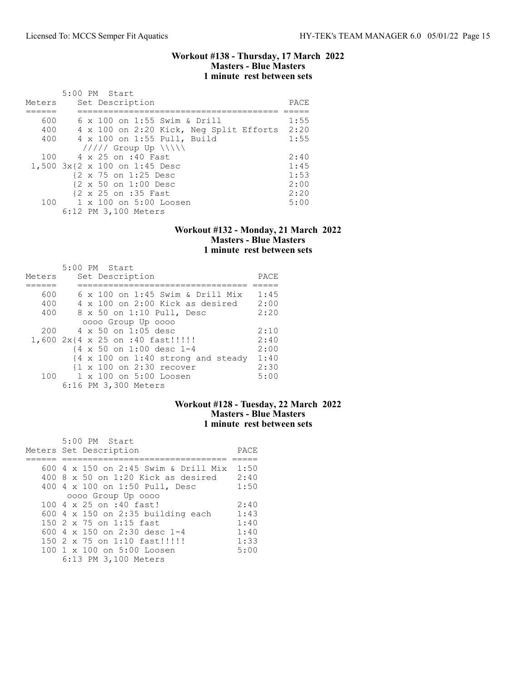Workout #138 - Thursday, 17 March 2022 Masters - Blue Masters 1 minute rest between sets

| Meters | 5:00 PM Start<br>Set Description        | PACE |
|--------|-----------------------------------------|------|
|        |                                         |      |
| 600    | 6 x 100 on 1:55 Swim & Drill            | 1:55 |
| 400    | 4 x 100 on 2:20 Kick, Neg Split Efforts | 2:20 |
| 400    | 4 x 100 on 1:55 Pull, Build             | 1:55 |
|        | $11111$ Group Up $\ \ $                 |      |
| 100    | 4 x 25 on :40 Fast                      | 2:40 |
|        | 1,500 3x{2 x 100 on 1:45 Desc           | 1:45 |
|        | {2 x 75 on 1:25 Desc                    | 1:53 |
|        | {2 x 50 on 1:00 Desc                    | 2:00 |
|        | {2 x 25 on :35 Fast                     | 2:20 |
|        | 100 1 x 100 on 5:00 Loosen              | 5:00 |
|        | 6:12 PM 3,100 Meters                    |      |

### Workout #132 - Monday, 21 March 2022 Masters - Blue Masters 1 minute rest between sets

| Meters |  | 5:00 PM Start<br>Set Description                              | PACE |
|--------|--|---------------------------------------------------------------|------|
|        |  |                                                               |      |
| 600    |  | $6 \times 100$ on 1:45 Swim & Drill Mix                       | 1:45 |
| 400    |  | $4 \times 100$ on 2:00 Kick as desired                        | 2:00 |
| 400    |  | 8 x 50 on 1:10 Pull, Desc                                     | 2:20 |
|        |  | 0000 Group Up 0000                                            |      |
| 200    |  | $4 \times 50$ on 1:05 desc                                    | 2:10 |
|        |  | 1,600 2x{4 x 25 on :40 fast!!!!!                              | 2:40 |
|        |  | $\{4 \times 50 \text{ on } 1:00 \text{ desc } 1-4$            | 2:00 |
|        |  | $\{4 \times 100 \text{ on } 1:40 \text{ strong and steady}\}$ | 1:40 |
|        |  | {1 x 100 on 2:30 recover                                      | 2:30 |
| 100    |  | 1 x 100 on 5:00 Loosen                                        | 5:00 |
|        |  | 6:16 PM 3,300 Meters                                          |      |

# Workout #128 - Tuesday, 22 March 2022 Masters - Blue Masters 1 minute rest between sets

| 5:00 PM Start<br>Meters Set Description   | PACE |
|-------------------------------------------|------|
|                                           |      |
| 600 4 x 150 on 2:45 Swim & Drill Mix      | 1:50 |
| $400.8 \times 50$ on 1:20 Kick as desired | 2:40 |
| 400 4 x 100 on 1:50 Pull, Desc            | 1:50 |
| 0000 Group Up 0000                        |      |
| 100 4 x 25 on :40 fast!                   | 2:40 |
| 600 $4 \times 150$ on 2:35 building each  | 1:43 |
| 150 2 x 75 on 1:15 fast                   | 1:40 |
| 600 $4 \times 150$ on 2:30 desc 1-4       | 1:40 |
| 150 2 x 75 on 1:10 fast!!!!!              | 1:33 |
| 100 1 x 100 on 5:00 Loosen                | 5:00 |
| 6:13 PM 3,100 Meters                      |      |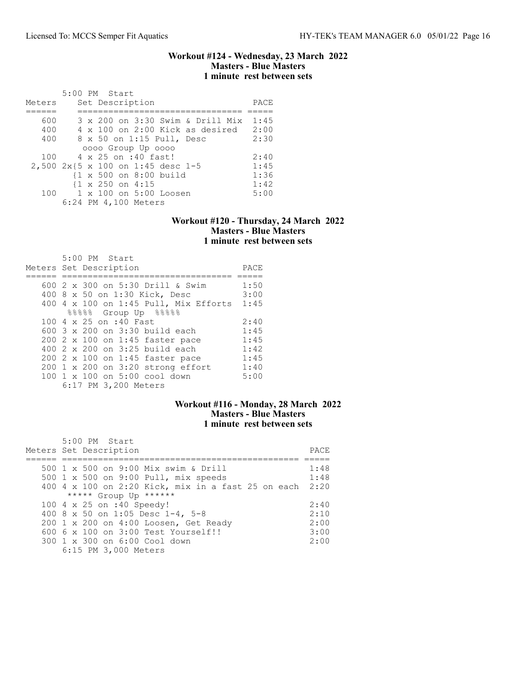## Workout #124 - Wednesday, 23 March 2022 Masters - Blue Masters 1 minute rest between sets

|        |  | 5:00 PM Start                                     |  |                                        |      |
|--------|--|---------------------------------------------------|--|----------------------------------------|------|
| Meters |  | Set Description                                   |  |                                        | PACE |
|        |  |                                                   |  |                                        |      |
| 600    |  |                                                   |  | 3 x 200 on 3:30 Swim & Drill Mix       | 1:45 |
| 400    |  |                                                   |  | $4 \times 100$ on 2:00 Kick as desired | 2:00 |
| 400    |  | 8 x 50 on 1:15 Pull, Desc                         |  |                                        | 2:30 |
|        |  | 0000 Group Up 0000                                |  |                                        |      |
| 100    |  | 4 x 25 on :40 fast!                               |  |                                        | 2:40 |
|        |  | 2,500 2x{5 x 100 on 1:45 desc 1-5                 |  |                                        | 1:45 |
|        |  | $\{1 \times 500 \text{ on } 8:00 \text{ build}\}$ |  |                                        | 1:36 |
|        |  | $\{1 \times 250 \text{ on } 4:15\}$               |  |                                        | 1:42 |
| 100    |  | 1 x 100 on 5:00 Loosen                            |  |                                        | 5:00 |
|        |  | 6:24 PM 4,100 Meters                              |  |                                        |      |

#### Workout #120 - Thursday, 24 March 2022 Masters - Blue Masters 1 minute rest between sets

| 5:00 PM Start<br>Meters Set Description | PACE |
|-----------------------------------------|------|
|                                         | 1:50 |
| 600 2 x 300 on 5:30 Drill & Swim        |      |
| 400 8 x 50 on 1:30 Kick, Desc           | 3:00 |
| 400 4 x 100 on 1:45 Pull, Mix Efforts   | 1:45 |
| $88888$ Group Up $88888$                |      |
| 100 4 x 25 on :40 Fast                  | 2:40 |
| $600$ 3 x 200 on 3:30 build each        | 1:45 |
| 200 2 x 100 on 1:45 faster pace         | 1:45 |
| 400 2 x 200 on 3:25 build each          | 1:42 |
| 200 2 x 100 on 1:45 faster pace         | 1:45 |
| 200 1 x 200 on 3:20 strong effort       | 1:40 |
| 100 1 x 100 on 5:00 cool down           | 5:00 |
| 6:17 PM 3,200 Meters                    |      |

## Workout #116 - Monday, 28 March 2022 Masters - Blue Masters 1 minute rest between sets

| 5:00 PM Start                                           |      |
|---------------------------------------------------------|------|
| Meters Set Description                                  | PACE |
|                                                         |      |
| 500 1 x 500 on 9:00 Mix swim & Drill                    | 1:48 |
| 500 1 x 500 on 9:00 Pull, mix speeds                    | 1:48 |
| 400 4 x 100 on 2:20 Kick, mix in a fast 25 on each 2:20 |      |
| ***** Group Up ******                                   |      |
| 100 4 x 25 on :40 Speedy!                               | 2:40 |
| 400 8 x 50 on 1:05 Desc 1-4, 5-8                        | 2:10 |
| 200 1 x 200 on 4:00 Loosen, Get Ready                   | 2:00 |
| 600 6 x 100 on 3:00 Test Yourself!!                     | 3:00 |
| 300 1 x 300 on 6:00 Cool down                           | 2:00 |
| 6:15 PM 3,000 Meters                                    |      |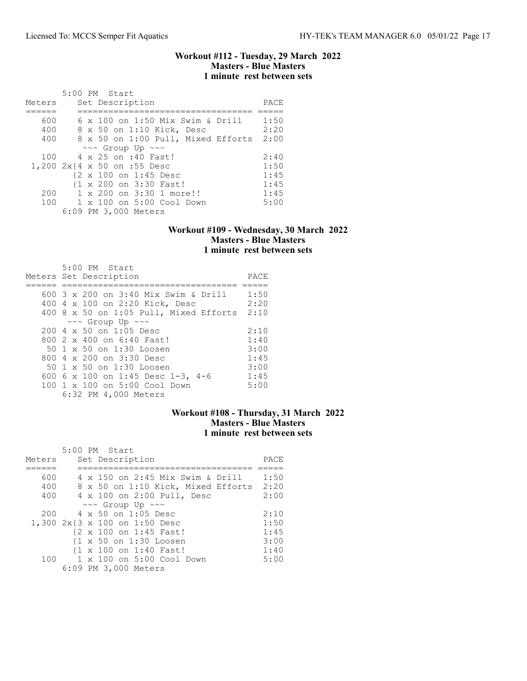### Workout #112 - Tuesday, 29 March 2022 Masters - Blue Masters 1 minute rest between sets

|        | 5:00 PM Start                           |      |
|--------|-----------------------------------------|------|
| Meters | Set Description                         | PACE |
|        |                                         |      |
| 600    | $6 \times 100$ on 1:50 Mix Swim & Drill | 1:50 |
| 400    | 8 x 50 on 1:10 Kick, Desc               | 2:20 |
| 400    | 8 x 50 on 1:00 Pull, Mixed Efforts      | 2:00 |
|        | $\sim\sim$ Group Up $\sim\sim$          |      |
| 100    | 4 x 25 on :40 Fast!                     | 2:40 |
|        | 1,200 2x{4 x 50 on :55 Desc             | 1:50 |
|        | {2 x 100 on 1:45 Desc                   | 1:45 |
|        | {1 x 200 on 3:30 Fast!                  | 1:45 |
| 200    | 1 x 200 on 3:30 1 more!!                | 1:45 |
| 100    | $1 \times 100$ on $5:00$ Cool Down      | 5:00 |
|        | 6:09 PM 3,000 Meters                    |      |

## Workout #109 - Wednesday, 30 March 2022 Masters - Blue Masters 1 minute rest between sets

| $5:00$ PM Start<br>Meters Set Description        | PACE |
|--------------------------------------------------|------|
| 600 3 x 200 on 3:40 Mix Swim & Drill             | 1:50 |
| 400 4 x 100 on 2:20 Kick, Desc                   | 2:20 |
| 400 8 x 50 on 1:05 Pull, Mixed Efforts           | 2:10 |
| $\sim\sim$ Group Up $\sim\sim$                   |      |
| $200 \text{ } 4 \text{ } \times 50$ on 1:05 Desc | 2:10 |
| 800 2 x 400 on 6:40 Fast!                        | 1:40 |
| 50 1 x 50 on 1:30 Loosen                         | 3:00 |
| 800 $4 \times 200$ on $3:30$ Desc                | 1:45 |
| 50 1 x 50 on 1:30 Loosen                         | 3:00 |
| 600 6 x 100 on 1:45 Desc 1-3, 4-6                | 1:45 |
| 100 1 x 100 on 5:00 Cool Down                    | 5:00 |
| 6:32 PM 4,000 Meters                             |      |

# Workout #108 - Thursday, 31 March 2022 Masters - Blue Masters 1 minute rest between sets

|        | 5:00 PM Start                      |      |
|--------|------------------------------------|------|
| Meters | Set Description                    | PACE |
|        |                                    |      |
| 600    | 4 x 150 on 2:45 Mix Swim & Drill   | 1:50 |
| 400    | 8 x 50 on 1:10 Kick, Mixed Efforts | 2:20 |
| 400    | 4 x 100 on 2:00 Pull, Desc         | 2:00 |
|        | $\sim\sim$ Group Up $\sim\sim$     |      |
| 200    | 4 x 50 on 1:05 Desc                | 2:10 |
|        | 1,300 2x{3 x 100 on 1:50 Desc      | 1:50 |
|        | {2 x 100 on 1:45 Fast!             | 1:45 |
|        | {1 x 50 on 1:30 Loosen             | 3:00 |
|        | {1 x 100 on 1:40 Fast!             | 1:40 |
| 100    | 1 x 100 on 5:00 Cool Down          | 5:00 |
|        | 6:09 PM 3,000 Meters               |      |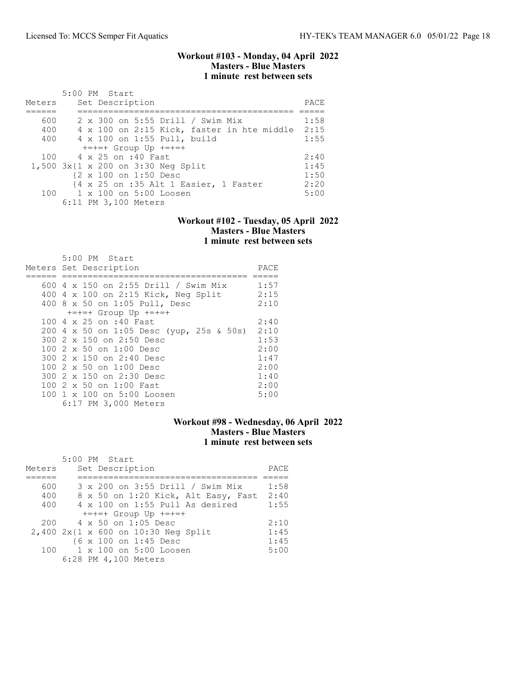### Workout #103 - Monday, 04 April 2022 Masters - Blue Masters 1 minute rest between sets

| Meters | 5:00 PM Start<br>Set Description        |  |                                                                                    | PACE |
|--------|-----------------------------------------|--|------------------------------------------------------------------------------------|------|
| 600    | 2 x 300 on 5:55 Drill / Swim Mix        |  |                                                                                    | 1:58 |
| 400    |                                         |  | 4 x 100 on 2:15 Kick, faster in hte middle 2:15                                    |      |
| 400    | 4 x 100 on 1:55 Pull, build             |  |                                                                                    | 1:55 |
|        | $+=+=+$ Group Up $+=+=+$                |  |                                                                                    |      |
|        | 100 4 x 25 on :40 Fast                  |  |                                                                                    | 2:40 |
|        | $1,500$ $3x$ {1 x 200 on 3:30 Neq Split |  |                                                                                    | 1:45 |
|        | {2 x 100 on 1:50 Desc                   |  |                                                                                    | 1:50 |
|        |                                         |  | $\{4 \times 25 \text{ on } : 35 \text{ Alt } 1 \text{ Basicr}, 1 \text{ Factor}\}$ | 2:20 |
|        | 100 1 x 100 on 5:00 Loosen              |  |                                                                                    | 5:00 |
|        | 6:11 PM 3,100 Meters                    |  |                                                                                    |      |

#### Workout #102 - Tuesday, 05 April 2022 Masters - Blue Masters 1 minute rest between sets

| 5:00 PM Start                            |      |
|------------------------------------------|------|
| Meters Set Description                   | PACE |
|                                          |      |
| 600 4 x 150 on 2:55 Drill / Swim Mix     | 1:57 |
| 400 4 x 100 on 2:15 Kick, Neg Split      | 2:15 |
| 400 8 x 50 on 1:05 Pull, Desc            | 2:10 |
| $+=+=+$ Group Up $+=+=+$                 |      |
| 100 4 x 25 on :40 Fast                   | 2:40 |
| 200 4 x 50 on 1:05 Desc (yup, 25s & 50s) | 2:10 |
| 300 2 x 150 on 2:50 Desc                 | 1:53 |
| $1002 \times 50$ on $1:00$ Desc          | 2:00 |
| 300 2 x 150 on 2:40 Desc                 | 1:47 |
| 100 2 x 50 on 1:00 Desc                  | 2:00 |
| 300 2 x 150 on 2:30 Desc                 | 1:40 |
| 100 2 x 50 on 1:00 Fast                  | 2:00 |
| 100 1 x 100 on 5:00 Loosen               | 5:00 |
| 6:17 PM 3,000 Meters                     |      |

# Workout #98 - Wednesday, 06 April 2022 Masters - Blue Masters 1 minute rest between sets

|        | 5:00 PM Start                       |      |
|--------|-------------------------------------|------|
| Meters | Set Description                     | PACE |
|        |                                     |      |
| 600    | 3 x 200 on 3:55 Drill / Swim Mix    | 1:58 |
| 400    | 8 x 50 on 1:20 Kick, Alt Easy, Fast | 2:40 |
| 400    | 4 x 100 on 1:55 Pull As desired     | 1:55 |
|        | $+=+=+$ Group Up $+=+=+$            |      |
| 200    | 4 x 50 on 1:05 Desc                 | 2:10 |
|        | 2,400 2x{1 x 600 on 10:30 Neg Split | 1:45 |
|        | {6 x 100 on 1:45 Desc               | 1:45 |
| 100    | $1 \times 100$ on $5:00$ Loosen     | 5:00 |
|        | 6:28 PM 4,100 Meters                |      |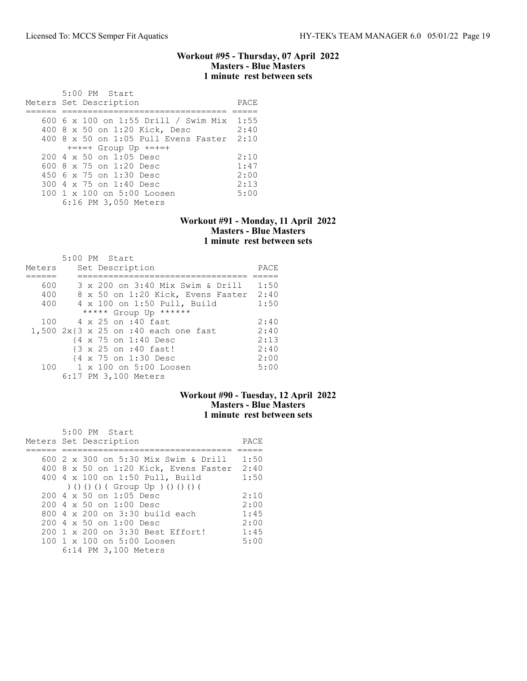#### Workout #95 - Thursday, 07 April 2022 Masters - Blue Masters 1 minute rest between sets

| 5:00 PM Start<br>Meters Set Description   | PACE |
|-------------------------------------------|------|
| 600 6 x 100 on 1:55 Drill / Swim Mix 1:55 |      |
|                                           |      |
| 400 8 x 50 on 1:20 Kick, Desc             | 2:40 |
| 400 8 x 50 on 1:05 Pull Evens Faster      | 2:10 |
| $+=+=+$ Group Up $+=+=+$                  |      |
| $200.4 \times 50$ on 1:05 Desc            | 2:10 |
| 600 8 $\times$ 75 on 1:20 Desc            | 1:47 |
| 450 6 x 75 on 1:30 Desc                   | 2:00 |
| 300 4 x 75 on 1:40 Desc                   | 2:13 |
| 100 1 x 100 on 5:00 Loosen                | 5:00 |
| 6:16 PM 3,050 Meters                      |      |

### Workout #91 - Monday, 11 April 2022 Masters - Blue Masters 1 minute rest between sets

|        | 5:00 PM Start                                                    |      |
|--------|------------------------------------------------------------------|------|
| Meters | Set Description                                                  | PACE |
|        |                                                                  |      |
| 600    | 3 x 200 on 3:40 Mix Swim & Drill                                 | 1:50 |
| 400    | 8 x 50 on 1:20 Kick, Evens Faster                                | 2:40 |
| 400    | 4 x 100 on 1:50 Pull, Build                                      | 1:50 |
|        | ***** Group Up ******                                            |      |
| 100    | 4 x 25 on :40 fast                                               | 2:40 |
|        | 1,500 $2x\{3 \times 25 \text{ on } : 40 \text{ each one fast}\}$ | 2:40 |
|        | {4 x 75 on 1:40 Desc                                             | 2:13 |
|        | {3 x 25 on :40 fast!                                             | 2:40 |
|        | {4 x 75 on 1:30 Desc                                             | 2:00 |
| 100    | 1 x 100 on 5:00 Loosen                                           | 5:00 |
|        | 6:17 PM 3,100 Meters                                             |      |

# Workout #90 - Tuesday, 12 April 2022 Masters - Blue Masters 1 minute rest between sets

| 5:00 PM Start                                    |      |
|--------------------------------------------------|------|
| Meters Set Description                           | PACE |
|                                                  |      |
| 600 2 x 300 on 5:30 Mix Swim & Drill             | 1:50 |
| 400 8 x 50 on 1:20 Kick, Evens Faster            | 2:40 |
| 400 4 x 100 on 1:50 Pull, Build                  | 1:50 |
| ) () () () ( Group Up ) () () () (               |      |
| $200 \text{ } 4 \text{ } \times 50$ on 1:05 Desc | 2:10 |
| $200 \text{ } 4 \times 50$ on $1:00$ Desc        | 2:00 |
| 800 $4 \times 200$ on $3:30$ build each          | 1:45 |
| $200 \text{ } 4 \times 50$ on $1:00$ Desc        | 2:00 |
| 200 1 x 200 on 3:30 Best Effort!                 | 1:45 |
| 100 1 x 100 on 5:00 Loosen                       | 5:00 |
| 6:14 PM 3,100 Meters                             |      |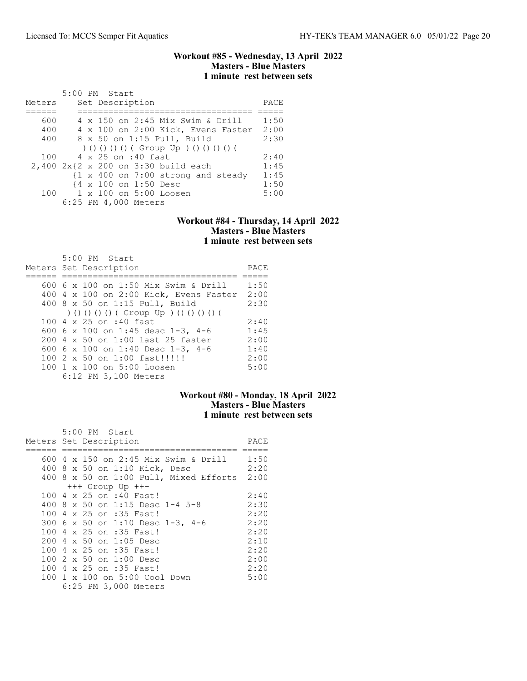### Workout #85 - Wednesday, 13 April 2022 Masters - Blue Masters 1 minute rest between sets

|        | 5:00 PM Start                            |      |
|--------|------------------------------------------|------|
| Meters | Set Description                          | PACE |
|        |                                          |      |
| 600    | 4 x 150 on 2:45 Mix Swim & Drill         | 1:50 |
| 400    | 4 x 100 on 2:00 Kick, Evens Faster       | 2:00 |
| 400    | 8 x 50 on 1:15 Pull, Build               | 2:30 |
|        | ) () () () () ( Group Up ) () () () () ( |      |
| 100    | 4 x 25 on :40 fast                       | 2:40 |
|        | 2,400 2x{2 x 200 on 3:30 build each      | 1:45 |
|        | {1 x 400 on 7:00 strong and steady       | 1:45 |
|        | {4 x 100 on 1:50 Desc                    | 1:50 |
| 100    | 1 x 100 on 5:00 Loosen                   | 5:00 |
|        | 6:25 PM 4,000 Meters                     |      |

#### Workout #84 - Thursday, 14 April 2022 Masters - Blue Masters 1 minute rest between sets

| 5:00 PM Start<br>Meters Set Description  | PACE |
|------------------------------------------|------|
| 600 6 x 100 on 1:50 Mix Swim & Drill     | 1:50 |
| 400 4 x 100 on 2:00 Kick, Evens Faster   | 2:00 |
| 400 8 x 50 on 1:15 Pull, Build           | 2:30 |
| ) () () () () ( Group Up ) () () () () ( |      |
| 100 4 x 25 on :40 fast                   | 2:40 |
| 600 6 x 100 on 1:45 desc 1-3, 4-6        | 1:45 |
| 200 4 x 50 on 1:00 last 25 faster        | 2:00 |
| 600 6 x 100 on 1:40 Desc 1-3, 4-6        | 1:40 |
| 100 2 x 50 on 1:00 fast!!!!!!            | 2:00 |
| 100 1 x 100 on 5:00 Loosen               | 5:00 |
| 6:12 PM 3,100 Meters                     |      |

# Workout #80 - Monday, 18 April 2022 Masters - Blue Masters 1 minute rest between sets

|  | 5:00 PM Start                               |      |
|--|---------------------------------------------|------|
|  | Meters Set Description                      | PACE |
|  |                                             |      |
|  | 600 4 x 150 on 2:45 Mix Swim & Drill        | 1:50 |
|  | 400 8 x 50 on 1:10 Kick, Desc               | 2:20 |
|  | 400 8 x 50 on 1:00 Pull, Mixed Efforts 2:00 |      |
|  | $+++$ Group Up $+++$                        |      |
|  | 100 4 x 25 on :40 Fast!                     | 2:40 |
|  | 400 8 x 50 on 1:15 Desc 1-4 5-8             | 2:30 |
|  | 100 4 x 25 on :35 Fast!                     | 2:20 |
|  | 300 6 x 50 on 1:10 Desc 1-3, 4-6            | 2:20 |
|  | 100 4 x 25 on :35 Fast!                     | 2:20 |
|  | 200 4 x 50 on 1:05 Desc                     | 2:10 |
|  | 100 4 x 25 on :35 Fast!                     | 2:20 |
|  | $1002 \times 50$ on $1:00$ Desc             | 2:00 |
|  | 100 4 x 25 on :35 Fast!                     | 2:20 |
|  | 100 1 x 100 on 5:00 Cool Down               | 5:00 |
|  | 6:25 PM 3,000 Meters                        |      |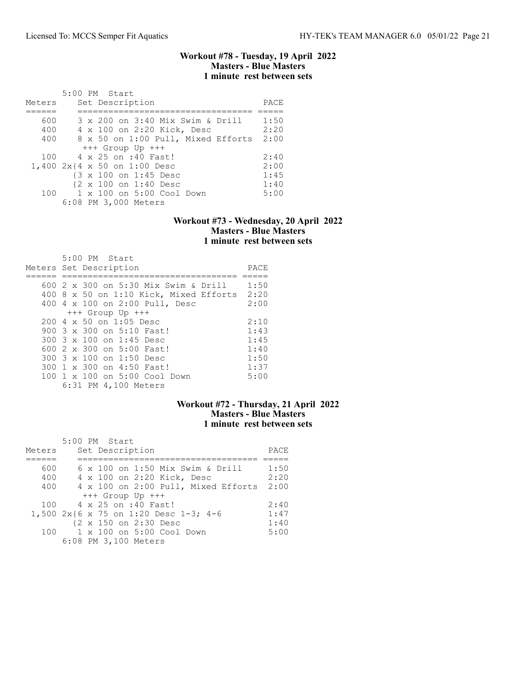## Workout #78 - Tuesday, 19 April 2022 Masters - Blue Masters 1 minute rest between sets

| Meters | $5:00$ PM Start<br>Set Description        | PACE |
|--------|-------------------------------------------|------|
|        |                                           |      |
| 600    | 3 x 200 on 3:40 Mix Swim & Drill          | 1:50 |
| 400    | 4 x 100 on 2:20 Kick, Desc                | 2:20 |
| 400    | 8 x 50 on 1:00 Pull, Mixed Efforts        | 2:00 |
|        | $+++$ Group Up $+++$                      |      |
| 100    | 4 x 25 on :40 Fast!                       | 2:40 |
|        | 1,400 2x{4 x 50 on 1:00 Desc              | 2:00 |
|        | {3 x 100 on 1:45 Desc                     | 1:45 |
|        | {2 x 100 on 1:40 Desc                     | 1:40 |
|        | 100    1 x 100    an 5:00    Cool    Down | 5:00 |
|        | 6:08 PM 3,000 Meters                      |      |

#### Workout #73 - Wednesday, 20 April 2022 Masters - Blue Masters 1 minute rest between sets

| $5:00$ PM Start                                  |      |
|--------------------------------------------------|------|
| Meters Set Description                           | PACE |
|                                                  |      |
| 600 2 x 300 on 5:30 Mix Swim & Drill             | 1:50 |
| 400 8 x 50 on 1:10 Kick, Mixed Efforts           | 2:20 |
| 400 4 x 100 on 2:00 Pull, Desc                   | 2:00 |
| $+++$ Group Up $+++$                             |      |
| $200 \text{ } 4 \text{ } \times 50$ on 1:05 Desc | 2:10 |
| 900 3 x 300 on 5:10 Fast!                        | 1:43 |
| 300 3 x 100 on 1:45 Desc                         | 1:45 |
| 600 2 x 300 on 5:00 Fast!                        | 1:40 |
| 300 3 x 100 on 1:50 Desc                         | 1:50 |
| 300 1 x 300 on 4:50 Fast!                        | 1:37 |
| 100 1 x 100 on 5:00 Cool Down                    | 5:00 |
| 6:31 PM 4,100 Meters                             |      |

# Workout #72 - Thursday, 21 April 2022 Masters - Blue Masters 1 minute rest between sets

|        | 5:00 PM Start                         |      |
|--------|---------------------------------------|------|
| Meters | Set Description                       | PACE |
|        |                                       |      |
| 600    | 6 x 100 on 1:50 Mix Swim & Drill      | 1:50 |
| 400    | 4 x 100 on 2:20 Kick, Desc            | 2:20 |
| 400    | 4 x 100 on 2:00 Pull, Mixed Efforts   | 2:00 |
|        | $+++$ Group Up $+++$                  |      |
| 100    | 4 x 25 on :40 Fast!                   | 2:40 |
|        | 1,500 2x{6 x 75 on 1:20 Desc 1-3; 4-6 | 1:47 |
|        | {2 x 150 on 2:30 Desc                 | 1:40 |
| 100    | 1 x 100 on 5:00 Cool Down             | 5:00 |
|        | 6:08 PM 3,100 Meters                  |      |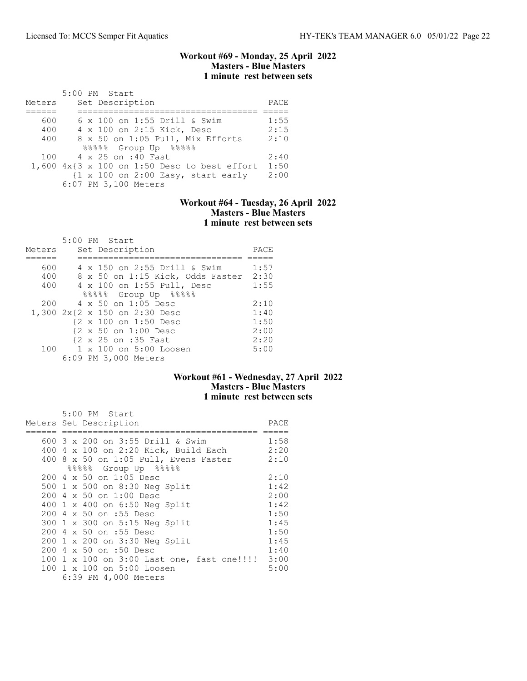### Workout #69 - Monday, 25 April 2022 Masters - Blue Masters 1 minute rest between sets

|        | 5:00 PM Start                                                         |      |
|--------|-----------------------------------------------------------------------|------|
| Meters | Set Description                                                       | PACE |
|        |                                                                       |      |
| 600    | 6 x 100 on 1:55 Drill & Swim                                          | 1:55 |
| 400    | 4 x 100 on 2:15 Kick, Desc                                            | 2:15 |
| 400    | 8 x 50 on 1:05 Pull, Mix Efforts                                      | 2:10 |
|        | $88888$ Group Up $88888$                                              |      |
| 100    | 4 x 25 on :40 Fast                                                    | 2:40 |
|        | $1,600$ $4x\{3x100$ on 1:50 Desc to best effort                       | 1:50 |
|        | $\{1 \times 100 \text{ on } 2:00 \text{ Easy}, \text{ start early}\}$ | 2:00 |
|        | 6:07 PM 3,100 Meters                                                  |      |

## Workout #64 - Tuesday, 26 April 2022 Masters - Blue Masters 1 minute rest between sets

|        |  | 5:00 PM Start                    |      |
|--------|--|----------------------------------|------|
| Meters |  | Set Description                  | PACE |
|        |  |                                  |      |
| 600    |  | 4 x 150 on 2:55 Drill & Swim     | 1:57 |
| 400    |  | 8 x 50 on 1:15 Kick, Odds Faster | 2:30 |
| 400    |  | 4 x 100 on 1:55 Pull, Desc       | 1:55 |
|        |  | 88888 Group Up 88888             |      |
| 200    |  | $4 \times 50$ on 1:05 Desc       | 2:10 |
|        |  | 1,300 2x{2 x 150 on 2:30 Desc    | 1:40 |
|        |  | {2 x 100 on 1:50 Desc            | 1:50 |
|        |  | {2 x 50 on 1:00 Desc             | 2:00 |
|        |  | {2 x 25 on :35 Fast              | 2:20 |
| 100    |  | 1 x 100 on 5:00 Loosen           | 5:00 |
|        |  | 6:09 PM 3,000 Meters             |      |

# Workout #61 - Wednesday, 27 April 2022 Masters - Blue Masters 1 minute rest between sets

| 5:00 PM Start                                   |      |
|-------------------------------------------------|------|
| Meters Set Description                          | PACE |
|                                                 |      |
| 600 3 x 200 on 3:55 Drill & Swim                | 1:58 |
| 400 4 x 100 on 2:20 Kick, Build Each            | 2:20 |
| 400 8 x 50 on 1:05 Pull, Evens Faster           | 2:10 |
| 88888 Group Up 88888                            |      |
| 200 4 x 50 on 1:05 Desc                         | 2:10 |
| 500 1 x 500 on 8:30 Neg Split                   | 1:42 |
| 200 4 x 50 on 1:00 Desc                         | 2:00 |
| 400 1 x 400 on 6:50 Neg Split                   | 1:42 |
| 200 4 x 50 on :55 Desc                          | 1:50 |
| 300 1 x 300 on 5:15 Neg Split                   | 1:45 |
| 200 4 x 50 on :55 Desc                          | 1:50 |
| 200 1 x 200 on 3:30 Neg Split                   | 1:45 |
| 200 4 x 50 on :50 Desc                          | 1:40 |
| 100 1 x 100 on 3:00 Last one, fast one!!!! 3:00 |      |
| 100 1 x 100 on 5:00 Loosen                      | 5:00 |
| 6:39 PM 4,000 Meters                            |      |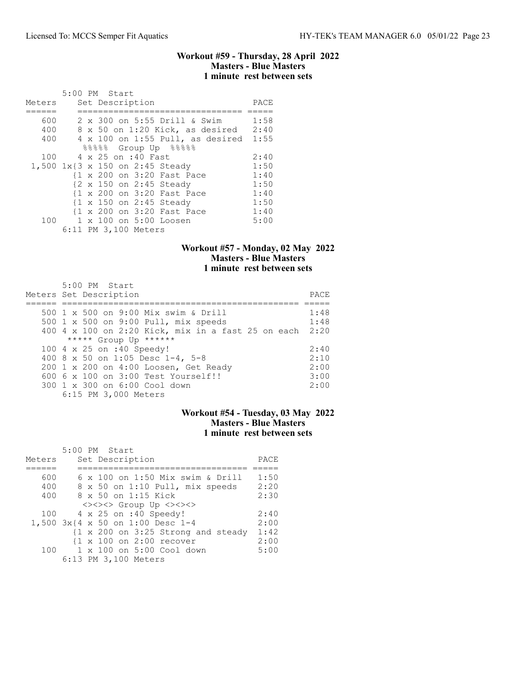### Workout #59 - Thursday, 28 April 2022 Masters - Blue Masters 1 minute rest between sets

|        | 5:00 PM Start |  |                      |                                         |      |
|--------|---------------|--|----------------------|-----------------------------------------|------|
| Meters |               |  | Set Description      |                                         | PACE |
|        |               |  |                      |                                         |      |
| 600    |               |  |                      | 2 x 300 on 5:55 Drill & Swim            | 1:58 |
| 400    |               |  |                      | 8 x 50 on 1:20 Kick, as desired 2:40    |      |
| 400    |               |  |                      | $4 \times 100$ on 1:55 Pull, as desired | 1:55 |
|        |               |  |                      | $88888$ Group Up $88888$                |      |
| 100    |               |  | 4 x 25 on :40 Fast   |                                         | 2:40 |
|        |               |  |                      | 1,500 1x{3 x 150 on 2:45 Steady         | 1:50 |
|        |               |  |                      | {1 x 200 on 3:20 Fast Pace              | 1:40 |
|        |               |  |                      | {2 x 150 on 2:45 Steady                 | 1:50 |
|        |               |  |                      | {1 x 200 on 3:20 Fast Pace              | 1:40 |
|        |               |  |                      | {1 x 150 on 2:45 Steady                 | 1:50 |
|        |               |  |                      | {1 x 200 on 3:20 Fast Pace              | 1:40 |
|        |               |  |                      | 100 1 x 100 on 5:00 Loosen              | 5:00 |
|        |               |  | 6:11 PM 3,100 Meters |                                         |      |

# Workout #57 - Monday, 02 May 2022 Masters - Blue Masters 1 minute rest between sets

| $5:00$ PM Start<br>Meters Set Description          | PACE |
|----------------------------------------------------|------|
| 500 1 x 500 on 9:00 Mix swim & Drill               | 1:48 |
| 500 1 x 500 on 9:00 Pull, mix speeds               | 1:48 |
| 400 4 x 100 on 2:20 Kick, mix in a fast 25 on each | 2:20 |
| ***** Group Up ******                              |      |
| 100 4 x 25 on :40 Speedy!                          | 2:40 |
| 400 8 x 50 on 1:05 Desc 1-4, 5-8                   | 2:10 |
| 200 1 x 200 on 4:00 Loosen, Get Ready              | 2:00 |
| 600 6 x 100 on 3:00 Test Yourself!!                | 3:00 |
| 300 1 x 300 on 6:00 Cool down                      | 2:00 |
| 6:15 PM 3,000 Meters                               |      |

# Workout #54 - Tuesday, 03 May 2022 Masters - Blue Masters 1 minute rest between sets

| Meters | 5:00 PM Start<br>Set Description                              | PACE |
|--------|---------------------------------------------------------------|------|
|        |                                                               |      |
| 600    | 6 x 100 on 1:50 Mix swim & Drill                              | 1:50 |
| 400    | 8 x 50 on 1:10 Pull, mix speeds                               | 2:20 |
| 400    | 8 x 50 on 1:15 Kick                                           | 2:30 |
|        | <><><> Group Up <><><>                                        |      |
| 100    | 4 x 25 on :40 Speedy!                                         | 2:40 |
|        | 1,500 3x{4 x 50 on 1:00 Desc 1-4                              | 2:00 |
|        | $\{1 \times 200 \text{ on } 3:25 \text{ Strong and steady}\}$ | 1:42 |
|        | $\{1 \times 100 \text{ on } 2:00 \text{ recover}\}$           | 2:00 |
| 100    | $1 \times 100$ on $5:00$ Cool down                            | 5:00 |
|        | 6:13 PM 3,100 Meters                                          |      |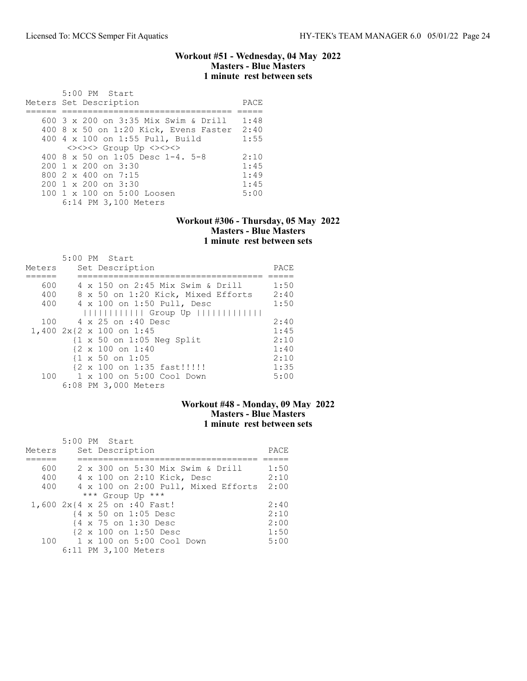### Workout #51 - Wednesday, 04 May 2022 Masters - Blue Masters 1 minute rest between sets

| 5:00 PM Start<br>Meters Set Description | PACE |
|-----------------------------------------|------|
| 600 3 x 200 on 3:35 Mix Swim & Drill    | 1:48 |
| 400 8 x 50 on 1:20 Kick, Evens Faster   | 2:40 |
| 400 4 x 100 on 1:55 Pull, Build         | 1:55 |
| <><><> Group Up <><><>                  |      |
| 400 8 $\times$ 50 on 1:05 Desc 1-4, 5-8 | 2:10 |
| $200 \t1 x 200$ on $3:30$               | 1:45 |
| 800 $2 \times 400$ on $7:15$            | 1:49 |
| $200 \t1 x 200$ on $3:30$               | 1:45 |
| 100 1 x 100 on 5:00 Loosen              | 5:00 |
| 6:14 PM 3,100 Meters                    |      |

## Workout #306 - Thursday, 05 May 2022 Masters - Blue Masters 1 minute rest between sets

|        | 5:00 PM Start                                                            |      |
|--------|--------------------------------------------------------------------------|------|
| Meters | Set Description                                                          | PACE |
|        |                                                                          |      |
| 600    | 4 x 150 on 2:45 Mix Swim & Drill                                         | 1:50 |
| 400    | 8 x 50 on 1:20 Kick, Mixed Efforts                                       | 2:40 |
| 400    | 4 x 100 on 1:50 Pull, Desc                                               | 1:50 |
|        | $                           $ Group Up $                               $ |      |
| 100    | 4 x 25 on :40 Desc                                                       | 2:40 |
|        | 1,400 2x{2 x 100 on 1:45                                                 | 1:45 |
|        | $\{1 \times 50 \text{ on } 1:05 \text{ Neg Split}\}$                     | 2:10 |
|        | $\{2 \times 100 \text{ on } 1:40\}$                                      | 1:40 |
|        | $\{1 \times 50 \text{ on } 1:05\}$                                       | 2:10 |
|        | {2 x 100 on 1:35 fast !!!!!!                                             | 1:35 |
| 100    | 1 x 100 on 5:00 Cool Down                                                | 5:00 |
|        | 6:08 PM 3,000 Meters                                                     |      |

## Workout #48 - Monday, 09 May 2022 Masters - Blue Masters 1 minute rest between sets

|        | 5:00 PM Start                            |      |
|--------|------------------------------------------|------|
| Meters | Set Description                          | PACE |
|        |                                          |      |
| 600    | 2 x 300 on 5:30 Mix Swim & Drill         | 1:50 |
| 400    | 4 x 100 on 2:10 Kick, Desc               | 2:10 |
| 400    | 4 x 100 on 2:00 Pull, Mixed Efforts 2:00 |      |
|        | *** Group Up ***                         |      |
|        | 1,600 2x{4 x 25 on :40 Fast!             | 2:40 |
|        | {4 x 50 on 1:05 Desc                     | 2:10 |
|        | {4 x 75 on 1:30 Desc                     | 2:00 |
|        | {2 x 100 on 1:50 Desc                    | 1:50 |
| 100    | 1 x 100 on 5:00 Cool Down                | 5:00 |
|        | 6:11 PM 3,100 Meters                     |      |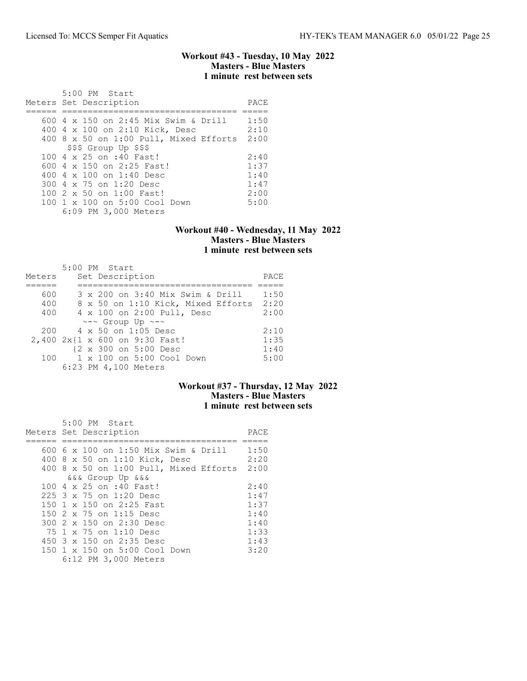### Workout #43 - Tuesday, 10 May 2022 Masters - Blue Masters 1 minute rest between sets

| $5:00$ PM Start<br>Meters Set Description             | PACE |
|-------------------------------------------------------|------|
| 600 4 x 150 on 2:45 Mix Swim & Drill                  | 1:50 |
| 400 4 x 100 on 2:10 Kick, Desc                        | 2:10 |
| 400 8 x 50 on 1:00 Pull, Mixed Efforts                | 2:00 |
| \$\$\$ Group Up \$\$\$                                |      |
| 100 4 x 25 on :40 Fast!                               | 2:40 |
| 600 4 x 150 on 2:25 Fast!                             | 1:37 |
| 400 $4 \times 100$ on 1:40 Desc                       | 1:40 |
| 300 4 x 75 on 1:20 Desc                               | 1:47 |
| $100 \t2 \t x \t50$ on $1:00$ Fast!                   | 2:00 |
| 100 1 x 100 on 5:00 Cool Down<br>6:09 PM 3,000 Meters | 5:00 |

# Workout #40 - Wednesday, 11 May 2022 Masters - Blue Masters 1 minute rest between sets

|        |  | $5:00$ PM Start                          |      |
|--------|--|------------------------------------------|------|
| Meters |  | Set Description                          | PACE |
|        |  |                                          |      |
| 600    |  | 3 x 200 on 3:40 Mix Swim & Drill         | 1:50 |
| 400    |  | 8 x 50 on 1:10 Kick, Mixed Efforts 2:20  |      |
| 400    |  | 4 x 100 on 2:00 Pull, Desc               | 2:00 |
|        |  | $\sim$ - $\sim$ Group Up $\sim$ - $\sim$ |      |
| 200    |  | 4 x 50 on 1:05 Desc                      | 2:10 |
|        |  | 2,400 2x{1 x 600 on 9:30 Fast!           | 1:35 |
|        |  | {2 x 300 on 5:00 Desc                    | 1:40 |
| 100    |  | 1 x 100 on 5:00 Cool Down                | 5:00 |
|        |  | 6:23 PM 4,100 Meters                     |      |

# Workout #37 - Thursday, 12 May 2022 Masters - Blue Masters 1 minute rest between sets

| $5:00$ PM Start<br>Meters Set Description | PACE |
|-------------------------------------------|------|
|                                           |      |
| 600 6 x 100 on 1:50 Mix Swim & Drill      | 1:50 |
|                                           | 2:20 |
| 400 8 x 50 on 1:10 Kick, Desc             |      |
| $400$ 8 x 50 on 1:00 Pull, Mixed Efforts  | 2:00 |
| &&& Group Up &&&                          |      |
| 100 4 x 25 on :40 Fast!                   | 2:40 |
| 225 3 x 75 on 1:20 Desc                   | 1:47 |
| 150 1 x 150 on 2:25 Fast                  | 1:37 |
| 150 2 x 75 on 1:15 Desc                   | 1:40 |
| 300 2 x 150 on 2:30 Desc                  | 1:40 |
| 75 1 x 75 on 1:10 Desc                    | 1:33 |
| 450 3 x 150 on 2:35 Desc                  | 1:43 |
| 150 1 x 150 on 5:00 Cool Down             | 3:20 |
| 6:12 PM 3,000 Meters                      |      |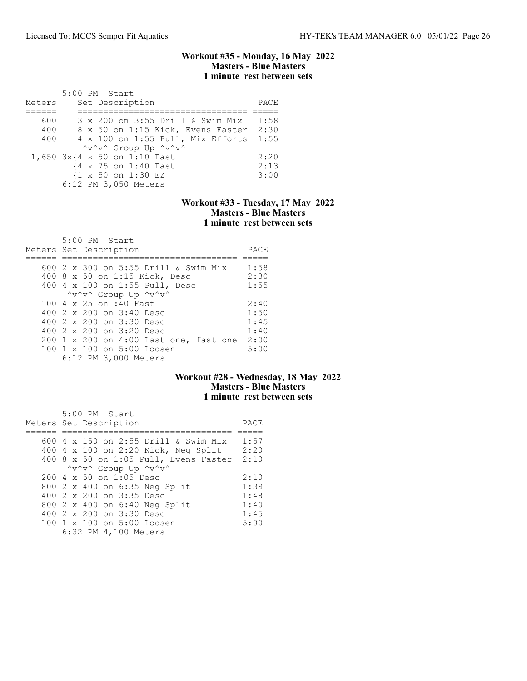## Workout #35 - Monday, 16 May 2022 Masters - Blue Masters 1 minute rest between sets

|        | 5:00 PM Start                          |      |
|--------|----------------------------------------|------|
| Meters | Set Description                        | PACE |
|        |                                        |      |
| 600    | 3 x 200 on 3:55 Drill & Swim Mix       | 1:58 |
| 400    | 8 x 50 on 1:15 Kick, Evens Faster 2:30 |      |
| 400    | 4 x 100 on 1:55 Pull, Mix Efforts 1:55 |      |
|        | "v"v" Group Up "v"v"                   |      |
|        | 1,650 3x{4 x 50 on 1:10 Fast           | 2:20 |
|        | {4 x 75 on 1:40 Fast                   | 2:13 |
|        | {1 x 50 on 1:30 EZ                     | 3:00 |
|        | 6:12 PM 3,050 Meters                   |      |

### Workout #33 - Tuesday, 17 May 2022 Masters - Blue Masters 1 minute rest between sets

| 5:00 PM Start<br>Meters Set Description | PACE |
|-----------------------------------------|------|
| 600 2 x 300 on 5:55 Drill & Swim Mix    | 1:58 |
| 400 8 x 50 on 1:15 Kick, Desc           | 2:30 |
| 400 4 x 100 on 1:55 Pull, Desc          | 1:55 |
| "v"v" Group Up "v"v"                    |      |
| 100 4 x 25 on :40 Fast                  | 2:40 |
| 400 2 x 200 on 3:40 Desc                | 1:50 |
| 400 $2 \times 200$ on $3:30$ Desc       | 1:45 |
| 400 2 x 200 on 3:20 Desc                | 1:40 |
| 200 1 x 200 on 4:00 Last one, fast one  | 2:00 |
| 100 1 x 100 on 5:00 Loosen              | 5:00 |
| 6:12 PM 3,000 Meters                    |      |

# Workout #28 - Wednesday, 18 May 2022 Masters - Blue Masters 1 minute rest between sets

| 5:00 PM Start                                    |      |
|--------------------------------------------------|------|
| Meters Set Description                           | PACE |
|                                                  |      |
| 600 4 x 150 on 2:55 Drill & Swim Mix             | 1:57 |
| 400 4 x 100 on 2:20 Kick, Neg Split              | 2:20 |
| $400$ 8 x 50 on 1:05 Pull, Evens Faster          | 2:10 |
| "v"v" Group Up "v"v"                             |      |
| $200 \text{ } 4 \text{ } \times 50$ on 1:05 Desc | 2:10 |
| 800 2 x 400 on 6:35 Neg Split                    | 1:39 |
| 400 2 x 200 on 3:35 Desc                         | 1:48 |
| 800 2 x 400 on 6:40 Neg Split                    | 1:40 |
| 400 $2 \times 200$ on $3:30$ Desc                | 1:45 |
| 100 1 x 100 on 5:00 Loosen                       | 5:00 |
| 6:32 PM 4,100 Meters                             |      |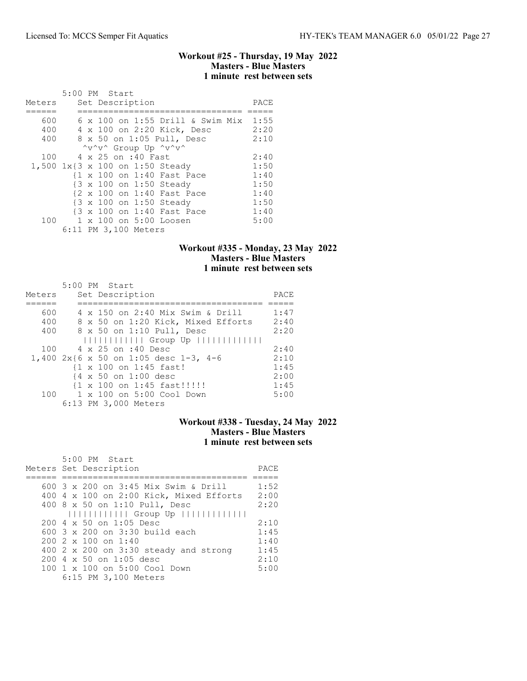## Workout #25 - Thursday, 19 May 2022 Masters - Blue Masters 1 minute rest between sets

|        | 5:00 PM Start |  |                      |                                 |                                  |      |
|--------|---------------|--|----------------------|---------------------------------|----------------------------------|------|
| Meters |               |  | Set Description      |                                 |                                  | PACE |
|        |               |  |                      |                                 |                                  |      |
| 600    |               |  |                      |                                 | 6 x 100 on 1:55 Drill & Swim Mix | 1:55 |
| 400    |               |  |                      | 4 x 100 on 2:20 Kick, Desc      |                                  | 2:20 |
| 400    |               |  |                      | 8 x 50 on 1:05 Pull, Desc       |                                  | 2:10 |
|        |               |  |                      | "v"v" Group Up "v"v"            |                                  |      |
| 100    |               |  | 4 x 25 on :40 Fast   |                                 |                                  | 2:40 |
|        |               |  |                      | 1,500 1x{3 x 100 on 1:50 Steady |                                  | 1:50 |
|        |               |  |                      | {1 x 100 on 1:40 Fast Pace      |                                  | 1:40 |
|        |               |  |                      | {3 x 100 on 1:50 Steady         |                                  | 1:50 |
|        |               |  |                      | {2 x 100 on 1:40 Fast Pace      |                                  | 1:40 |
|        |               |  |                      | {3 x 100 on 1:50 Steady         |                                  | 1:50 |
|        |               |  |                      | {3 x 100 on 1:40 Fast Pace      |                                  | 1:40 |
| 100    |               |  |                      | 1 x 100 on 5:00 Loosen          |                                  | 5:00 |
|        |               |  | 6:11 PM 3,100 Meters |                                 |                                  |      |

# Workout #335 - Monday, 23 May 2022 Masters - Blue Masters 1 minute rest between sets

|        | $5:00$ PM Start                          |      |
|--------|------------------------------------------|------|
| Meters | Set Description                          | PACE |
|        |                                          |      |
| 600    | 4 x 150 on 2:40 Mix Swim & Drill         | 1:47 |
| 400    | 8 x 50 on 1:20 Kick, Mixed Efforts       | 2:40 |
| 400    | 8 x 50 on 1:10 Pull, Desc                | 2:20 |
|        | Group Up                                 |      |
| 100    | 4 x 25 on :40 Desc                       | 2:40 |
|        | 1,400 $2x$ {6 x 50 on 1:05 desc 1-3, 4-6 | 2:10 |
|        | {1 x 100 on 1:45 fast!                   | 1:45 |
|        | {4 x 50 on 1:00 desc                     | 2:00 |
|        | {1 x 100 on 1:45 fast!!!!!!              | 1:45 |
| 100    | 1 x 100 on 5:00 Cool Down                | 5:00 |
|        | 6:13 PM 3,000 Meters                     |      |

# Workout #338 - Tuesday, 24 May 2022 Masters - Blue Masters 1 minute rest between sets

| 5:00 PM Start                                    |      |
|--------------------------------------------------|------|
| Meters Set Description                           | PACE |
|                                                  |      |
| 600 3 x 200 on 3:45 Mix Swim & Drill             | 1:52 |
| 400 4 x 100 on 2:00 Kick, Mixed Efforts          | 2:00 |
| 400 8 x 50 on 1:10 Pull, Desc                    | 2:20 |
| Group Up                                         |      |
| $200 \text{ } 4 \text{ } \times 50$ on 1:05 Desc | 2:10 |
| 600 $3 \times 200$ on $3:30$ build each          | 1:45 |
| $200.2 \times 100$ on 1:40                       | 1:40 |
| 400 2 x 200 on 3:30 steady and strong            | 1:45 |
| $200 \text{ } 4 \text{ } \times 50$ on 1:05 desc | 2:10 |
| 100 1 x 100 on 5:00 Cool Down                    | 5:00 |
| 6:15 PM 3,100 Meters                             |      |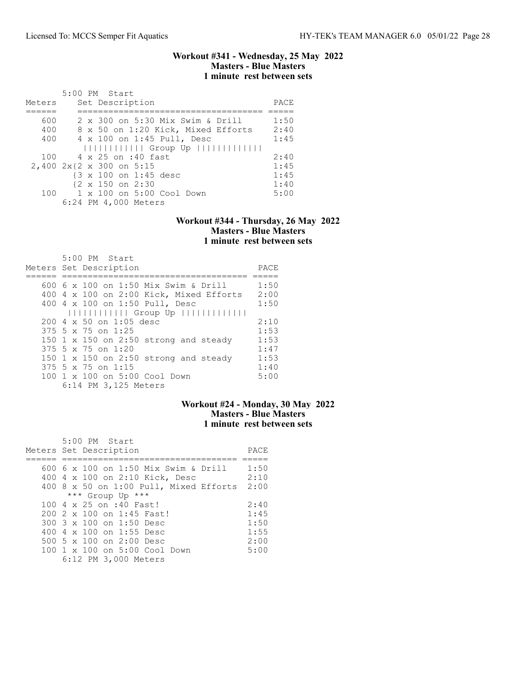### Workout #341 - Wednesday, 25 May 2022 Masters - Blue Masters 1 minute rest between sets

|        | 5:00 PM Start                                                            |      |
|--------|--------------------------------------------------------------------------|------|
| Meters | Set Description                                                          | PACE |
|        |                                                                          |      |
| 600    | 2 x 300 on 5:30 Mix Swim & Drill                                         | 1:50 |
| 400    | 8 x 50 on 1:20 Kick, Mixed Efforts                                       | 2:40 |
| 400    | 4 x 100 on 1:45 Pull, Desc                                               | 1:45 |
|        | $                           $ Group Up $                               $ |      |
| 100    | 4 x 25 on :40 fast                                                       | 2:40 |
|        | 2,400 2x{2 x 300 on 5:15                                                 | 1:45 |
|        | {3 x 100 on 1:45 desc                                                    | 1:45 |
|        | $\{2 \times 150 \text{ on } 2:30\}$                                      | 1:40 |
| 100    | 1 x 100 on 5:00 Cool Down                                                | 5:00 |
|        | 6:24 PM 4,000 Meters                                                     |      |

#### Workout #344 - Thursday, 26 May 2022 Masters - Blue Masters 1 minute rest between sets

| $5:00$ PM Start                                  |      |
|--------------------------------------------------|------|
| Meters Set Description                           | PACE |
|                                                  |      |
| 600 6 x 100 on 1:50 Mix Swim & Drill             | 1:50 |
| 400 4 x 100 on 2:00 Kick, Mixed Efforts          | 2:00 |
| 400 4 x 100 on 1:50 Pull, Desc                   | 1:50 |
| $               $ Group Up $           $         |      |
| $200 \text{ } 4 \text{ } \times 50$ on 1:05 desc | 2:10 |
| 375 5 x 75 on 1:25                               | 1:53 |
| 150 1 $\times$ 150 on 2:50 strong and steady     | 1:53 |
| 375 5 x 75 on 1:20                               | 1:47 |
| 150 $1 \times 150$ on 2:50 strong and steady     | 1:53 |
| $375$ 5 x 75 on 1:15                             | 1:40 |
| 100 1 x 100 on 5:00 Cool Down                    | 5:00 |
| 6:14 PM 3,125 Meters                             |      |

# Workout #24 - Monday, 30 May 2022 Masters - Blue Masters 1 minute rest between sets

| 5:00 PM Start                          |      |
|----------------------------------------|------|
| Meters Set Description                 | PACE |
|                                        |      |
| 600 6 x 100 on 1:50 Mix Swim & Drill   | 1:50 |
| 400 4 x 100 on 2:10 Kick, Desc         | 2:10 |
| 400 8 x 50 on 1:00 Pull, Mixed Efforts | 2:00 |
| *** Group Up ***                       |      |
| 100 4 x 25 on :40 Fast!                | 2:40 |
| 200 2 x 100 on 1:45 Fast!              | 1:45 |
| 300 3 x 100 on 1:50 Desc               | 1:50 |
| 400 4 $\times$ 100 on 1:55 Desc        | 1:55 |
| 500 5 x 100 on 2:00 Desc               | 2:00 |
| 100 1 x 100 on 5:00 Cool Down          | 5:00 |
| 6:12 PM 3,000 Meters                   |      |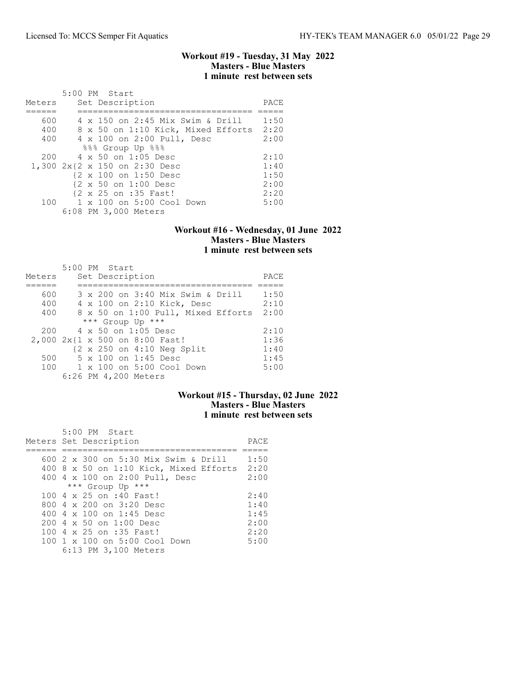## Workout #19 - Tuesday, 31 May 2022 Masters - Blue Masters 1 minute rest between sets

|        | 5:00 PM Start                           |      |
|--------|-----------------------------------------|------|
| Meters | Set Description                         | PACE |
|        |                                         |      |
| 600    | 4 x 150 on 2:45 Mix Swim & Drill        | 1:50 |
| 400    | 8 x 50 on 1:10 Kick, Mixed Efforts 2:20 |      |
| 400    | 4 x 100 on 2:00 Pull, Desc              | 2:00 |
|        | 888 Group Up 888                        |      |
| 200    | 4 x 50 on 1:05 Desc                     | 2:10 |
|        | 1,300 2x{2 x 150 on 2:30 Desc           | 1:40 |
|        | {2 x 100 on 1:50 Desc                   | 1:50 |
|        | {2 x 50 on 1:00 Desc                    | 2:00 |
|        | {2 x 25 on :35 Fast!                    | 2:20 |
| 100    | 1 x 100 on 5:00 Cool Down               | 5:00 |
|        | 6:08 PM 3,000 Meters                    |      |

# Workout #16 - Wednesday, 01 June 2022 Masters - Blue Masters 1 minute rest between sets

| Meters | $5:00$ PM Start<br>Set Description                    | PACE |
|--------|-------------------------------------------------------|------|
|        |                                                       |      |
| 600    | 3 x 200 on 3:40 Mix Swim & Drill                      | 1:50 |
| 400    | 4 x 100 on 2:10 Kick, Desc                            | 2:10 |
| 400    | 8 x 50 on 1:00 Pull, Mixed Efforts                    | 2:00 |
|        | *** Group Up ***                                      |      |
| 200    | 4 x 50 on 1:05 Desc                                   | 2:10 |
|        | 2,000 2x{1 x 500 on 8:00 Fast!                        | 1:36 |
|        | $\{2 \times 250 \text{ on } 4:10 \text{ Neg Split}\}$ | 1:40 |
| 500    | 5 x 100 on 1:45 Desc                                  | 1:45 |
| 100    | 1 x 100 on 5:00 Cool Down                             | 5:00 |
|        | 6:26 PM 4,200 Meters                                  |      |

# Workout #15 - Thursday, 02 June 2022 Masters - Blue Masters 1 minute rest between sets

| 5:00 PM Start                               |      |
|---------------------------------------------|------|
| Meters Set Description                      | PACE |
|                                             |      |
| 600 2 x 300 on 5:30 Mix Swim & Drill        | 1:50 |
| 400 8 x 50 on 1:10 Kick, Mixed Efforts 2:20 |      |
| 400 4 x 100 on 2:00 Pull, Desc              | 2:00 |
| *** Group Up ***                            |      |
| 100 4 x 25 on :40 Fast!                     | 2:40 |
| 800 $4 \times 200$ on $3:20$ Desc           | 1:40 |
| 400 4 x 100 on 1:45 Desc                    | 1:45 |
| $200 \text{ } 4 \times 50$ on $1:00$ Desc   | 2:00 |
| 100 4 x 25 on :35 Fast!                     | 2:20 |
| 100 1 x 100 on 5:00 Cool Down               | 5:00 |
| 6:13 PM 3,100 Meters                        |      |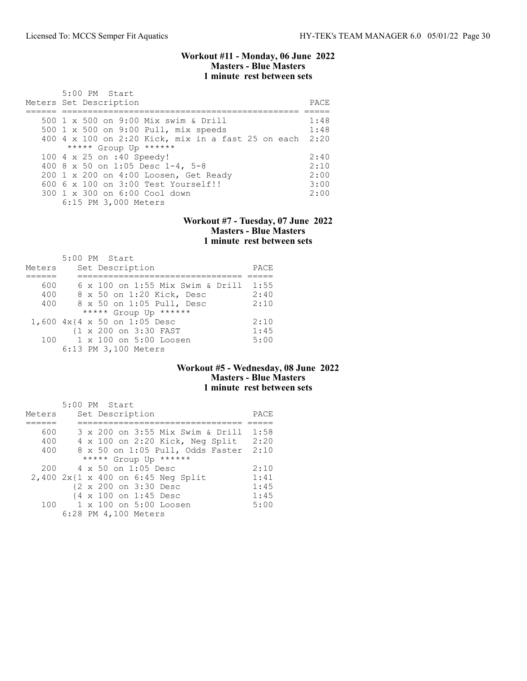### Workout #11 - Monday, 06 June 2022 Masters - Blue Masters 1 minute rest between sets

| 5:00 PM Start<br>Meters Set Description              | PACE. |
|------------------------------------------------------|-------|
| 500 1 x 500 on 9:00 Mix swim & Drill                 | 1:48  |
|                                                      |       |
| 500 1 x 500 on 9:00 Pull, mix speeds                 | 1:48  |
| $400$ 4 x 100 on 2:20 Kick, mix in a fast 25 on each | 2:20  |
| ***** Group Up ******                                |       |
| 100 4 x 25 on :40 Speedy!                            | 2:40  |
| 400 8 x 50 on 1:05 Desc 1-4, 5-8                     | 2:10  |
| 200 1 x 200 on 4:00 Loosen, Get Ready                | 2:00  |
| $6006 \times 100$ on $3:00$ Test Yourself!!          | 3:00  |
| 300 1 x 300 on 6:00 Cool down                        | 2:00  |
| 6:15 PM 3,000 Meters                                 |       |

### Workout #7 - Tuesday, 07 June 2022 Masters - Blue Masters 1 minute rest between sets

|        | 5:00 PM Start                    |      |
|--------|----------------------------------|------|
| Meters | Set Description                  | PACE |
|        |                                  |      |
| 600    | 6 x 100 on 1:55 Mix Swim & Drill | 1:55 |
| 400    | 8 x 50 on 1:20 Kick, Desc        | 2:40 |
| 400    | 8 x 50 on 1:05 Pull, Desc        | 2:10 |
|        | ***** Group Up ******            |      |
|        | 1,600 4x{4 x 50 on 1:05 Desc     | 2:10 |
|        | {1 x 200 on 3:30 FAST            | 1:45 |
| 100    | 1 x 100 on 5:00 Loosen           | 5:00 |
|        | 6:13 PM 3,100 Meters             |      |

# Workout #5 - Wednesday, 08 June 2022 Masters - Blue Masters 1 minute rest between sets

|        |  | 5:00 PM Start        |                                         |      |
|--------|--|----------------------|-----------------------------------------|------|
| Meters |  | Set Description      |                                         | PACE |
|        |  |                      |                                         |      |
| 600    |  |                      | 3 x 200 on 3:55 Mix Swim & Drill        | 1:58 |
| 400    |  |                      | 4 x 100 on 2:20 Kick, Neg Split         | 2:20 |
| 400    |  |                      | 8 x 50 on 1:05 Pull, Odds Faster        | 2:10 |
|        |  |                      | ***** Group Up ******                   |      |
| 200    |  | 4 x 50 on 1:05 Desc  |                                         | 2:10 |
|        |  |                      | $2,400$ $2x$ {1 x 400 on 6:45 Neq Split | 1:41 |
|        |  |                      | {2 x 200 on 3:30 Desc                   | 1:45 |
|        |  |                      | {4 x 100 on 1:45 Desc                   | 1:45 |
| 100    |  |                      | 1 x 100 on 5:00 Loosen                  | 5:00 |
|        |  | 6:28 PM 4,100 Meters |                                         |      |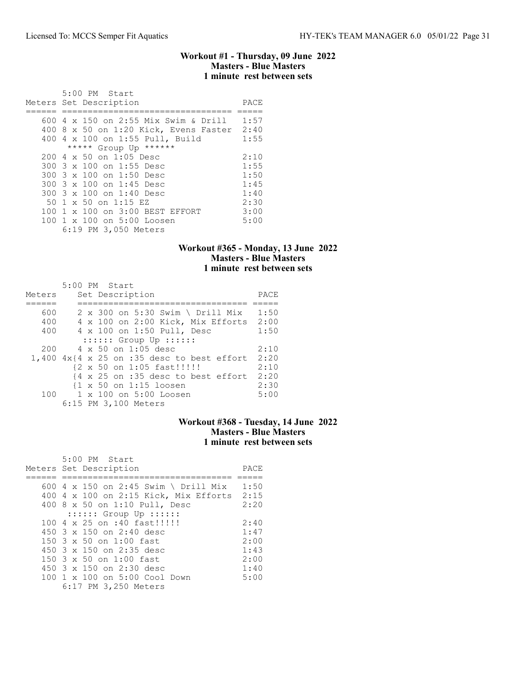### Workout #1 - Thursday, 09 June 2022 Masters - Blue Masters 1 minute rest between sets

| 5:00 PM Start<br>Meters Set Description          | PACE |
|--------------------------------------------------|------|
|                                                  |      |
| 600 4 x 150 on 2:55 Mix Swim & Drill             | 1:57 |
| 400 8 x 50 on 1:20 Kick, Evens Faster            | 2:40 |
| 400 4 x 100 on 1:55 Pull, Build                  | 1:55 |
| ***** Group Up ******                            |      |
| $200 \text{ } 4 \text{ } \times 50$ on 1:05 Desc | 2:10 |
| 300 3 x 100 on 1:55 Desc                         | 1:55 |
| 300 3 x 100 on 1:50 Desc                         | 1:50 |
| 300 3 x 100 on 1:45 Desc                         | 1:45 |
| 300 3 x 100 on 1:40 Desc                         | 1:40 |
| 50 1 x 50 on 1:15 EZ                             | 2:30 |
| 100 1 x 100 on 3:00 BEST EFFORT                  | 3:00 |
| 100 1 x 100 on 5:00 Loosen                       | 5:00 |
| 6:19 PM 3,050 Meters                             |      |

# Workout #365 - Monday, 13 June 2022 Masters - Blue Masters 1 minute rest between sets

| Meters | 5:00 PM Start<br>Set Description                               | PACE |
|--------|----------------------------------------------------------------|------|
| 600    | $2 \times 300$ on 5:30 Swim \ Drill Mix                        | 1:50 |
| 400    | 4 x 100 on 2:00 Kick, Mix Efforts 2:00                         |      |
| 400    | 4 x 100 on 1:50 Pull, Desc                                     | 1:50 |
|        | $: : : : : :$ Group Up $: : : : : :$                           |      |
| 200    | 4 x 50 on 1:05 desc                                            | 2:10 |
|        | $1,400$ $4x$ { $4 \times 25$ on :35 desc to best effort        | 2:20 |
|        | {2 x 50 on 1:05 fast!!!!!!                                     | 2:10 |
|        | $\{4 \times 25 \text{ on } : 35 \text{ desc to best effort}\}$ | 2:20 |
|        | $\{1 \times 50 \text{ on } 1:15 \text{ loosen}\}$              | 2:30 |
| 100    | 1 x 100 on 5:00 Loosen                                         | 5:00 |
|        | 6:15 PM 3,100 Meters                                           |      |

# Workout #368 - Tuesday, 14 June 2022 Masters - Blue Masters 1 minute rest between sets

| 5:00 PM Start<br>Meters Set Description               | PACE |
|-------------------------------------------------------|------|
|                                                       |      |
| 600 4 x 150 on 2:45 Swim \ Drill Mix                  | 1:50 |
| 400 4 x 100 on 2:15 Kick, Mix Efforts                 | 2:15 |
| 400 8 x 50 on 1:10 Pull, Desc                         | 2:20 |
| $: : : : : :$ Group Up $: : : : : :$                  |      |
| 100 4 x 25 on :40 fast!!!!!!                          | 2:40 |
| 450 $3 \times 150$ on 2:40 desc                       | 1:47 |
| $150.3 \times 50$ on $1:00$ fast                      | 2:00 |
| 450 $3 \times 150$ on 2:35 desc                       | 1:43 |
| $150.3 \times 50$ on $1:00$ fast                      | 2:00 |
| 450 $3 \times 150$ on 2:30 desc                       | 1:40 |
| 100 1 x 100 on 5:00 Cool Down<br>6:17 PM 3,250 Meters | 5:00 |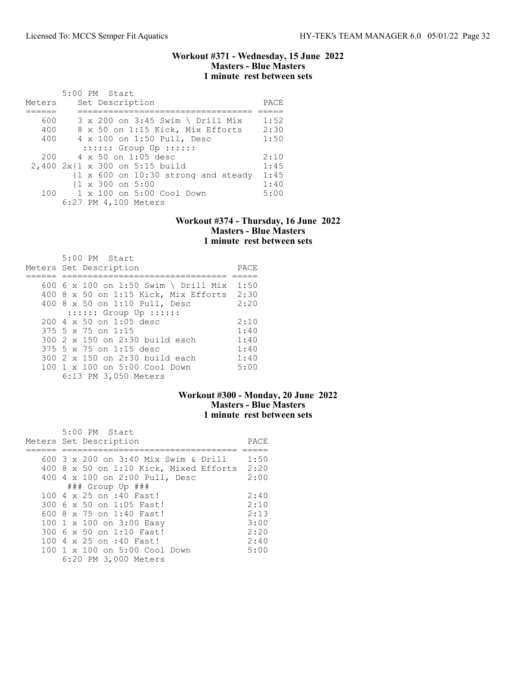#### Workout #371 - Wednesday, 15 June 2022 Masters - Blue Masters 1 minute rest between sets

|        | $5:00$ PM Start                             |      |
|--------|---------------------------------------------|------|
| Meters | Set Description                             | PACE |
|        |                                             |      |
| 600    | $3 \times 200$ on $3:45$ Swim \ Drill Mix   | 1:52 |
| 400    | 8 x 50 on 1:15 Kick, Mix Efforts            | 2:30 |
| 400    | 4 x 100 on 1:50 Pull, Desc                  | 1:50 |
|        | $::::::$ Group Up $::::::$                  |      |
| 200    | 4 x 50 on 1:05 desc                         | 2:10 |
|        | 2,400 2x{1 x 300 on 5:15 build              | 1:45 |
|        | $\{1 \times 600$ on 10:30 strong and steady | 1:45 |
|        | $\{1 \times 300 \text{ on } 5:00\}$         | 1:40 |
| 100    | 1 x 100 on 5:00 Cool Down                   | 5:00 |
|        | 6:27 PM 4,100 Meters                        |      |

#### Workout #374 - Thursday, 16 June 2022 Masters - Blue Masters 1 minute rest between sets

| 5:00 PM Start<br>Meters Set Description          | PACE |
|--------------------------------------------------|------|
| 600 6 x 100 on 1:50 Swim \ Drill Mix             | 1:50 |
| 400 8 x 50 on 1:15 Kick, Mix Efforts 2:30        |      |
| 400 8 x 50 on 1:10 Pull, Desc                    | 2:20 |
| $: : : : : :$ Group Up $: : : : : :$             |      |
| $200 \text{ } 4 \text{ } \times 50$ on 1:05 desc | 2:10 |
| $375$ 5 x 75 on 1:15                             | 1:40 |
| 300 2 x 150 on 2:30 build each                   | 1:40 |
| 375 5 x 75 on 1:15 desc                          | 1:40 |
| 300 2 x 150 on 2:30 build each                   | 1:40 |
| 100 1 x 100 on 5:00 Cool Down                    | 5:00 |
| 6:13 PM 3,050 Meters                             |      |

# Workout #300 - Monday, 20 June 2022 Masters - Blue Masters 1 minute rest between sets

| 5:00 PM Start<br>Meters Set Description  | PACE |
|------------------------------------------|------|
| 600 3 x 200 on 3:40 Mix Swim & Drill     | 1:50 |
| $400$ 8 x 50 on 1:10 Kick, Mixed Efforts | 2:20 |
| 400 4 x 100 on 2:00 Pull, Desc           | 2:00 |
| $\#$ ## Group Up $\#$ ##                 |      |
| 100 4 x 25 on :40 Fast!                  | 2:40 |
| 300 6 x 50 on 1:05 Fast!                 | 2:10 |
| 600 8 x 75 on 1:40 Fast!                 | 2:13 |
| 100 1 x 100 on 3:00 Easy                 | 3:00 |
| 300 6 x 50 on 1:10 Fast!                 | 2:20 |
| 100 4 x 25 on :40 Fast!                  | 2:40 |
| 100 1 x 100 on 5:00 Cool Down            | 5:00 |
| 6:20 PM 3,000 Meters                     |      |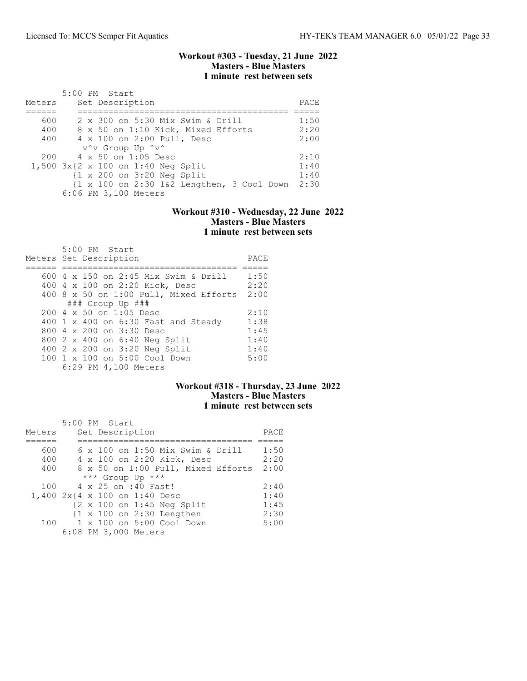## Workout #303 - Tuesday, 21 June 2022 Masters - Blue Masters 1 minute rest between sets

| Meters | 5:00 PM Start<br>Set Description                      | PACE |
|--------|-------------------------------------------------------|------|
|        |                                                       |      |
| 600    | 2 x 300 on 5:30 Mix Swim & Drill                      | 1:50 |
| 400    | 8 x 50 on 1:10 Kick, Mixed Efforts                    | 2:20 |
| 400    | 4 x 100 on 2:00 Pull, Desc                            | 2:00 |
|        | v^v Group Up ^v^                                      |      |
| 200    | 4 x 50 on 1:05 Desc                                   | 2:10 |
|        | $1,500$ $3x$ {2 x 100 on 1:40 Neq Split               | 1:40 |
|        | $\{1 \times 200 \text{ on } 3:20 \text{ Neg Split}\}$ | 1:40 |
|        | {1 x 100 on 2:30 1&2 Lengthen, 3 Cool Down            | 2:30 |
|        | 6:06 PM 3,100 Meters                                  |      |

# Workout #310 - Wednesday, 22 June 2022 Masters - Blue Masters 1 minute rest between sets

| $5:00$ PM Start<br>Meters Set Description        | PACE |
|--------------------------------------------------|------|
|                                                  |      |
| 600 4 x 150 on 2:45 Mix Swim & Drill             | 1:50 |
| 400 4 x 100 on 2:20 Kick, Desc                   | 2:20 |
| 400 8 x 50 on 1:00 Pull, Mixed Efforts           | 2:00 |
| ### Group Up ###                                 |      |
| $200 \text{ } 4 \text{ } \times 50$ on 1:05 Desc | 2:10 |
| 400 1 x 400 on 6:30 Fast and Steady              | 1:38 |
| 800 4 x 200 on 3:30 Desc                         | 1:45 |
| 800 2 x 400 on 6:40 Neg Split                    | 1:40 |
| 400 2 x 200 on 3:20 Neg Split                    | 1:40 |
| 100 1 x 100 on 5:00 Cool Down                    | 5:00 |
| 6:29 PM 4,100 Meters                             |      |

# Workout #318 - Thursday, 23 June 2022 Masters - Blue Masters 1 minute rest between sets

| Meters | 5:00 PM Start<br>Set Description                      | PACE |
|--------|-------------------------------------------------------|------|
|        |                                                       |      |
| 600    | 6 x 100 on 1:50 Mix Swim & Drill                      | 1:50 |
| 400    | 4 x 100 on 2:20 Kick, Desc                            | 2:20 |
| 400    | 8 x 50 on 1:00 Pull, Mixed Efforts                    | 2:00 |
|        | *** Group Up ***                                      |      |
| 100    | 4 x 25 on :40 Fast!                                   | 2:40 |
|        | 1,400 2x{4 x 100 on 1:40 Desc                         | 1:40 |
|        | $\{2 \times 100 \text{ on } 1:45 \text{ Neg Split}\}$ | 1:45 |
|        | $\{1 \times 100 \text{ on } 2:30 \text{ Lengthen}\}$  | 2:30 |
| 100    | 1 x 100 on 5:00 Cool Down                             | 5:00 |
|        | 6:08 PM 3,000 Meters                                  |      |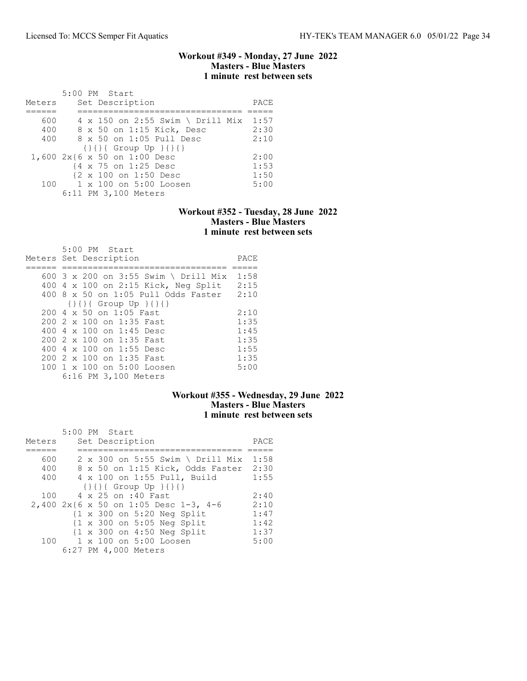## Workout #349 - Monday, 27 June 2022 Masters - Blue Masters 1 minute rest between sets

|        | 5:00 PM Start                                 |      |
|--------|-----------------------------------------------|------|
| Meters | Set Description                               | PACE |
|        |                                               |      |
| 600    | 4 x 150 on 2:55 Swim \ Drill Mix 1:57         |      |
| 400    | 8 x 50 on 1:15 Kick, Desc                     | 2:30 |
| 400    | 8 x 50 on 1:05 Pull Desc                      | 2:10 |
|        | $\{\} \{\} \{ \} \{ \}$ Group Up $\{\} \{ \}$ |      |
|        | 1,600 2x{6 x 50 on 1:00 Desc                  | 2:00 |
|        | {4 x 75 on 1:25 Desc                          | 1:53 |
|        | {2 x 100 on 1:50 Desc                         | 1:50 |
|        | 100 1 x 100 on 5:00 Loosen                    | 5:00 |
|        | 6:11 PM 3,100 Meters                          |      |

### Workout #352 - Tuesday, 28 June 2022 Masters - Blue Masters 1 minute rest between sets

| 5:00 PM Start                                 |      |
|-----------------------------------------------|------|
| Meters Set Description                        | PACE |
|                                               |      |
| 600 3 x 200 on 3:55 Swim \ Drill Mix          | 1:58 |
| 400 4 x 100 on 2:15 Kick, Neg Split           | 2:15 |
| $400.8 \times 50$ on $1:05$ Pull Odds Faster  | 2:10 |
| $\{\} \{\} \{ \} \{ \}$ Group Up $\{\} \{ \}$ |      |
| $200 \, 4 \times 50$ on 1:05 Fast             | 2:10 |
| 200 2 x 100 on 1:35 Fast                      | 1:35 |
| 400 4 x 100 on 1:45 Desc                      | 1:45 |
| 200 2 x 100 on 1:35 Fast                      | 1:35 |
| 400 4 x 100 on 1:55 Desc                      | 1:55 |
| 200 2 x 100 on 1:35 Fast                      | 1:35 |
| 100 1 x 100 on 5:00 Loosen                    | 5:00 |
| 6:16 PM 3,100 Meters                          |      |

# Workout #355 - Wednesday, 29 June 2022 Masters - Blue Masters 1 minute rest between sets

|        | 5:00 PM Start                                         |      |
|--------|-------------------------------------------------------|------|
| Meters | Set Description                                       | PACE |
|        |                                                       |      |
| 600    | 2 x 300 on 5:55 Swim \ Drill Mix                      | 1:58 |
| 400    | 8 x 50 on 1:15 Kick, Odds Faster                      | 2:30 |
| 400    | 4 x 100 on 1:55 Pull, Build                           | 1:55 |
|        | $\{\} \{\} \} \{ \}$                                  |      |
| 100    | 4 x 25 on :40 Fast                                    | 2:40 |
|        | 2,400 2x{6 x 50 on 1:05 Desc 1-3, 4-6                 | 2:10 |
|        | $\{1 \times 300 \text{ on } 5:20 \text{ Neg Split}\}$ | 1:47 |
|        | $\{1 \times 300 \text{ on } 5:05 \text{ Neg Split}\}$ | 1:42 |
|        | $\{1 \times 300 \text{ on } 4:50 \text{ Neg Split}\}$ | 1:37 |
| 100    | 1 x 100 on 5:00 Loosen                                | 5:00 |
|        | 6:27 PM 4,000 Meters                                  |      |